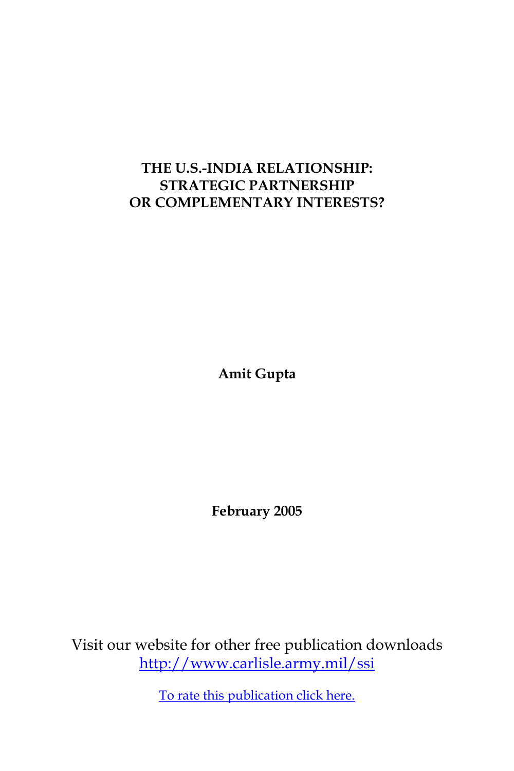# **THE U.S.-INDIA RELATIONSHIP: STRATEGIC PARTNERSHIP OR COMPLEMENTARY INTERESTS?**

**Amit Gupta**

**February 2005**

Visit our website for other free publication downloads <http://www.carlisle.army.mil/ssi>

[To rate this publication click here.](http://www.carlisle.army.mil/ssi/pubs/display.cfm/hurl/PubID=596)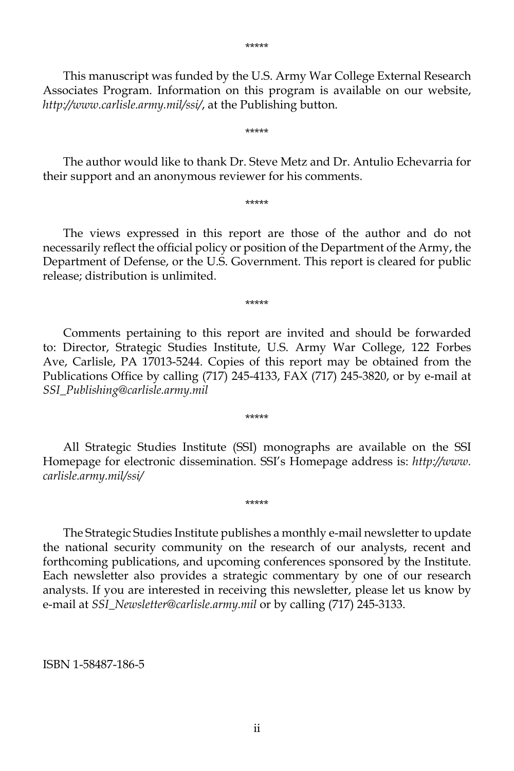This manuscript was funded by the U.S. Army War College External Research Associates Program. Information on this program is available on our website, *http://www.carlisle.army.mil/ssi/*, at the Publishing button.

\*\*\*\*\*

 The author would like to thank Dr. Steve Metz and Dr. Antulio Echevarria for their support and an anonymous reviewer for his comments.

\*\*\*\*\*

 The views expressed in this report are those of the author and do not necessarily reflect the official policy or position of the Department of the Army, the Department of Defense, or the U.S. Government. This report is cleared for public release; distribution is unlimited.

\*\*\*\*\*

 Comments pertaining to this report are invited and should be forwarded to: Director, Strategic Studies Institute, U.S. Army War College, 122 Forbes Ave, Carlisle, PA 17013-5244. Copies of this report may be obtained from the Publications Office by calling (717) 245-4133, FAX (717) 245-3820, or by e-mail at *SSI\_Publishing@carlisle.army.mil*

\*\*\*\*\*

 All Strategic Studies Institute (SSI) monographs are available on the SSI Homepage for electronic dissemination. SSI's Homepage address is: *http://www. carlisle.army.mil/ssi/*

\*\*\*\*\*

 The Strategic Studies Institute publishes a monthly e-mail newsletter to update the national security community on the research of our analysts, recent and forthcoming publications, and upcoming conferences sponsored by the Institute. Each newsletter also provides a strategic commentary by one of our research analysts. If you are interested in receiving this newsletter, please let us know by e-mail at *SSI\_Newsletter@carlisle.army.mil* or by calling (717) 245-3133.

ISBN 1-58487-186-5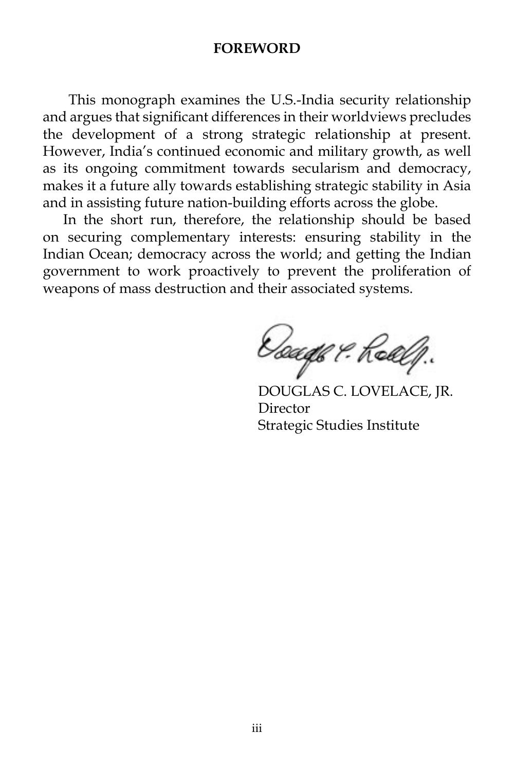#### **FOREWORD**

 This monograph examines the U.S.-India security relationship and argues that significant differences in their worldviews precludes the development of a strong strategic relationship at present. However, India's continued economic and military growth, as well as its ongoing commitment towards secularism and democracy, makes it a future ally towards establishing strategic stability in Asia and in assisting future nation-building efforts across the globe.

 In the short run, therefore, the relationship should be based on securing complementary interests: ensuring stability in the Indian Ocean; democracy across the world; and getting the Indian government to work proactively to prevent the proliferation of weapons of mass destruction and their associated systems.

Doage & Roalf.

DOUGLAS C. LOVELACE, JR. Director Strategic Studies Institute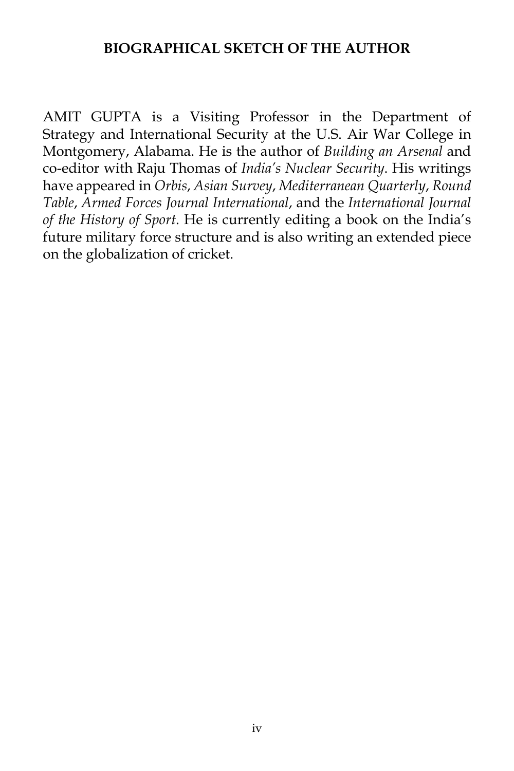### **BIOGRAPHICAL SKETCH OF THE AUTHOR**

AMIT GUPTA is a Visiting Professor in the Department of Strategy and International Security at the U.S. Air War College in Montgomery, Alabama. He is the author of *Building an Arsenal* and co-editor with Raju Thomas of *India's Nuclear Security*. His writings have appeared in *Orbis*, *Asian Survey*, *Mediterranean Quarterly*, *Round Table*, *Armed Forces Journal International*, and the *International Journal of the History of Sport*. He is currently editing a book on the India's future military force structure and is also writing an extended piece on the globalization of cricket.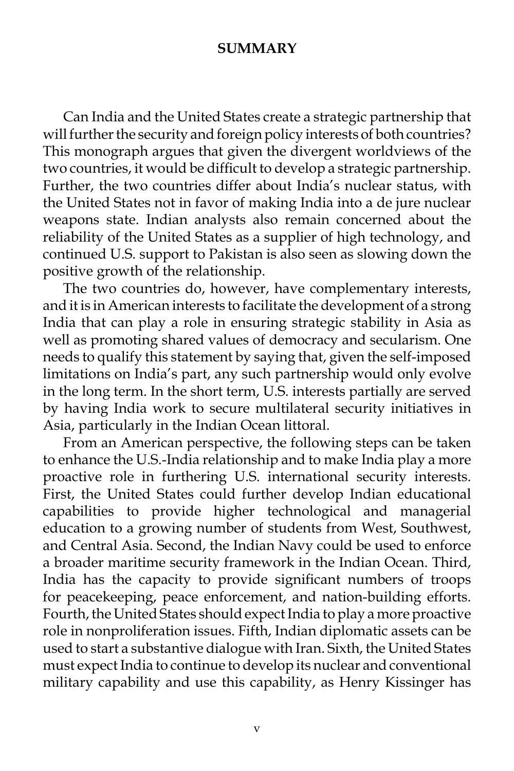### **SUMMARY**

 Can India and the United States create a strategic partnership that will further the security and foreign policy interests of both countries? This monograph argues that given the divergent worldviews of the two countries, it would be difficult to develop a strategic partnership. Further, the two countries differ about India's nuclear status, with the United States not in favor of making India into a de jure nuclear weapons state. Indian analysts also remain concerned about the reliability of the United States as a supplier of high technology, and continued U.S. support to Pakistan is also seen as slowing down the positive growth of the relationship.

 The two countries do, however, have complementary interests, and it is in American interests to facilitate the development of a strong India that can play a role in ensuring strategic stability in Asia as well as promoting shared values of democracy and secularism. One needs to qualify this statement by saying that, given the self-imposed limitations on India's part, any such partnership would only evolve in the long term. In the short term, U.S. interests partially are served by having India work to secure multilateral security initiatives in Asia, particularly in the Indian Ocean littoral.

 From an American perspective, the following steps can be taken to enhance the U.S.-India relationship and to make India play a more proactive role in furthering U.S. international security interests. First, the United States could further develop Indian educational capabilities to provide higher technological and managerial education to a growing number of students from West, Southwest, and Central Asia. Second, the Indian Navy could be used to enforce a broader maritime security framework in the Indian Ocean. Third, India has the capacity to provide significant numbers of troops for peacekeeping, peace enforcement, and nation-building efforts. Fourth, the United States should expect India to play a more proactive role in nonproliferation issues. Fifth, Indian diplomatic assets can be used to start a substantive dialogue with Iran. Sixth, the United States must expect India to continue to develop its nuclear and conventional military capability and use this capability, as Henry Kissinger has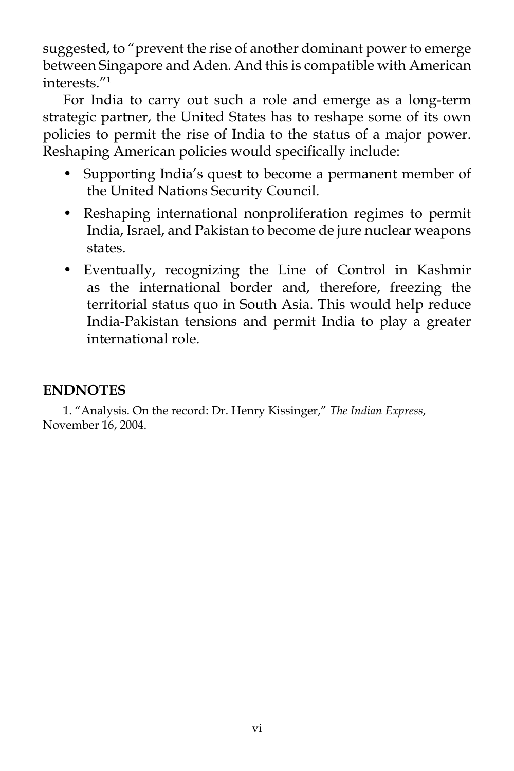suggested, to "prevent the rise of another dominant power to emerge between Singapore and Aden. And this is compatible with American interests."1

 For India to carry out such a role and emerge as a long-term strategic partner, the United States has to reshape some of its own policies to permit the rise of India to the status of a major power. Reshaping American policies would specifically include:

- Supporting India's quest to become a permanent member of the United Nations Security Council.
- Reshaping international nonproliferation regimes to permit India, Israel, and Pakistan to become de jure nuclear weapons states.
- Eventually, recognizing the Line of Control in Kashmir as the international border and, therefore, freezing the territorial status quo in South Asia. This would help reduce India-Pakistan tensions and permit India to play a greater international role.

# **ENDNOTES**

 1. "Analysis. On the record: Dr. Henry Kissinger," *The Indian Express*, November 16, 2004.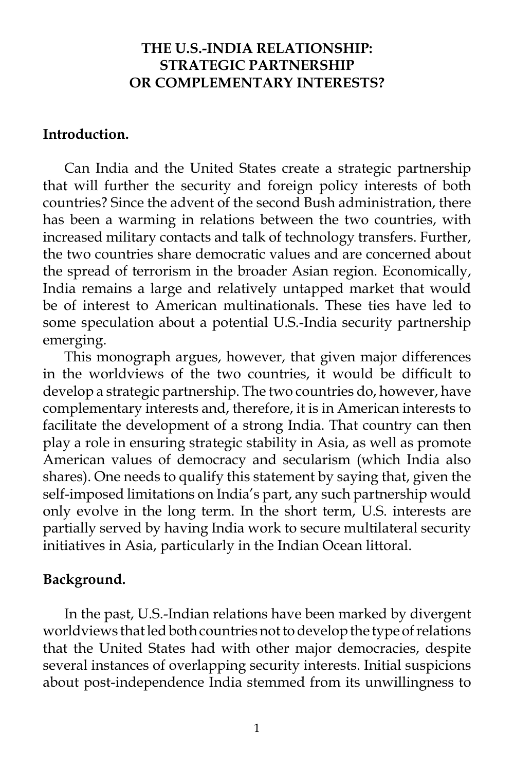# **THE U.S.-INDIA RELATIONSHIP: STRATEGIC PARTNERSHIP OR COMPLEMENTARY INTERESTS?**

### **Introduction.**

 Can India and the United States create a strategic partnership that will further the security and foreign policy interests of both countries? Since the advent of the second Bush administration, there has been a warming in relations between the two countries, with increased military contacts and talk of technology transfers. Further, the two countries share democratic values and are concerned about the spread of terrorism in the broader Asian region. Economically, India remains a large and relatively untapped market that would be of interest to American multinationals. These ties have led to some speculation about a potential U.S.-India security partnership emerging.

 This monograph argues, however, that given major differences in the worldviews of the two countries, it would be difficult to develop a strategic partnership. The two countries do, however, have complementary interests and, therefore, it is in American interests to facilitate the development of a strong India. That country can then play a role in ensuring strategic stability in Asia, as well as promote American values of democracy and secularism (which India also shares). One needs to qualify this statement by saying that, given the self-imposed limitations on India's part, any such partnership would only evolve in the long term. In the short term, U.S. interests are partially served by having India work to secure multilateral security initiatives in Asia, particularly in the Indian Ocean littoral.

### **Background.**

 In the past, U.S.-Indian relations have been marked by divergent worldviews that led both countries not to develop the type of relations that the United States had with other major democracies, despite several instances of overlapping security interests. Initial suspicions about post-independence India stemmed from its unwillingness to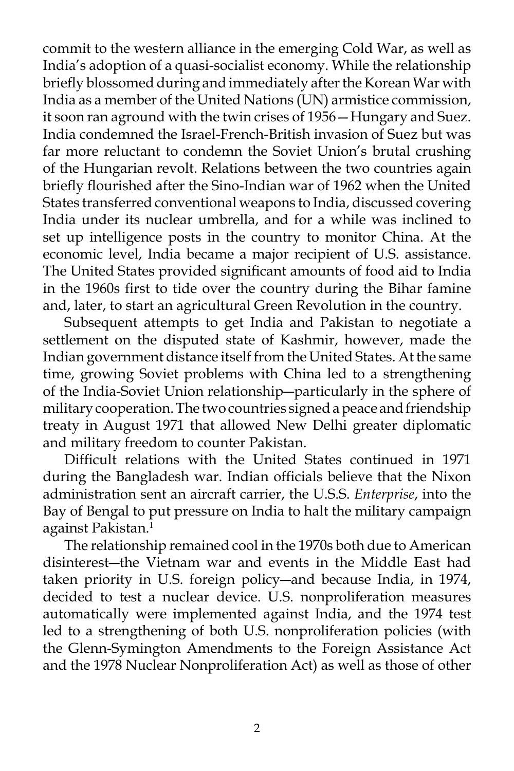commit to the western alliance in the emerging Cold War, as well as India's adoption of a quasi-socialist economy. While the relationship briefly blossomed during and immediately after the Korean War with India as a member of the United Nations (UN) armistice commission, it soon ran aground with the twin crises of 1956—Hungary and Suez. India condemned the Israel-French-British invasion of Suez but was far more reluctant to condemn the Soviet Union's brutal crushing of the Hungarian revolt. Relations between the two countries again briefly flourished after the Sino-Indian war of 1962 when the United States transferred conventional weapons to India, discussed covering India under its nuclear umbrella, and for a while was inclined to set up intelligence posts in the country to monitor China. At the economic level, India became a major recipient of U.S. assistance. The United States provided significant amounts of food aid to India in the 1960s first to tide over the country during the Bihar famine and, later, to start an agricultural Green Revolution in the country.

 Subsequent attempts to get India and Pakistan to negotiate a settlement on the disputed state of Kashmir, however, made the Indian government distance itself from the United States. At the same time, growing Soviet problems with China led to a strengthening of the India-Soviet Union relationship―particularly in the sphere of military cooperation. The two countries signed a peace and friendship treaty in August 1971 that allowed New Delhi greater diplomatic and military freedom to counter Pakistan.

 Difficult relations with the United States continued in 1971 during the Bangladesh war. Indian officials believe that the Nixon administration sent an aircraft carrier, the U.S.S. *Enterprise*, into the Bay of Bengal to put pressure on India to halt the military campaign against Pakistan.<sup>1</sup>

 The relationship remained cool in the 1970s both due to American disinterest―the Vietnam war and events in the Middle East had taken priority in U.S. foreign policy―and because India, in 1974, decided to test a nuclear device. U.S. nonproliferation measures automatically were implemented against India, and the 1974 test led to a strengthening of both U.S. nonproliferation policies (with the Glenn-Symington Amendments to the Foreign Assistance Act and the 1978 Nuclear Nonproliferation Act) as well as those of other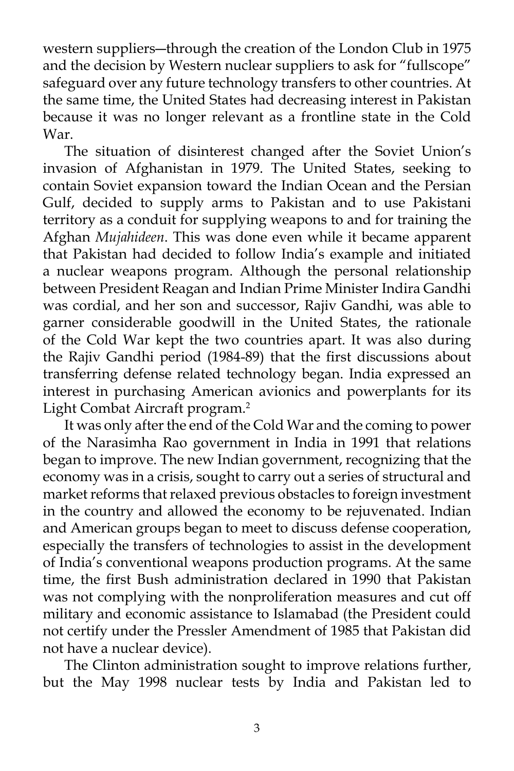western suppliers―through the creation of the London Club in 1975 and the decision by Western nuclear suppliers to ask for "fullscope" safeguard over any future technology transfers to other countries. At the same time, the United States had decreasing interest in Pakistan because it was no longer relevant as a frontline state in the Cold War.

 The situation of disinterest changed after the Soviet Union's invasion of Afghanistan in 1979. The United States, seeking to contain Soviet expansion toward the Indian Ocean and the Persian Gulf, decided to supply arms to Pakistan and to use Pakistani territory as a conduit for supplying weapons to and for training the Afghan *Mujahideen*. This was done even while it became apparent that Pakistan had decided to follow India's example and initiated a nuclear weapons program. Although the personal relationship between President Reagan and Indian Prime Minister Indira Gandhi was cordial, and her son and successor, Rajiv Gandhi, was able to garner considerable goodwill in the United States, the rationale of the Cold War kept the two countries apart. It was also during the Rajiv Gandhi period (1984-89) that the first discussions about transferring defense related technology began. India expressed an interest in purchasing American avionics and powerplants for its Light Combat Aircraft program.<sup>2</sup>

It was only after the end of the Cold War and the coming to power of the Narasimha Rao government in India in 1991 that relations began to improve. The new Indian government, recognizing that the economy was in a crisis, sought to carry out a series of structural and market reforms that relaxed previous obstacles to foreign investment in the country and allowed the economy to be rejuvenated. Indian and American groups began to meet to discuss defense cooperation, especially the transfers of technologies to assist in the development of India's conventional weapons production programs. At the same time, the first Bush administration declared in 1990 that Pakistan was not complying with the nonproliferation measures and cut off military and economic assistance to Islamabad (the President could not certify under the Pressler Amendment of 1985 that Pakistan did not have a nuclear device).

 The Clinton administration sought to improve relations further, but the May 1998 nuclear tests by India and Pakistan led to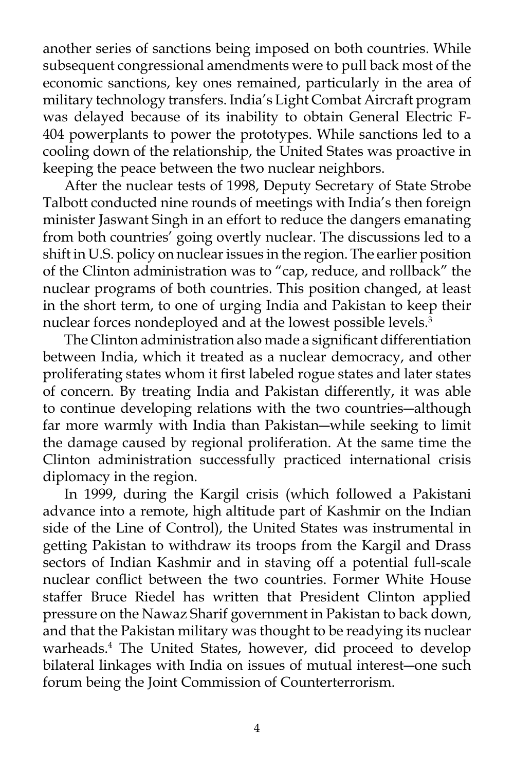another series of sanctions being imposed on both countries. While subsequent congressional amendments were to pull back most of the economic sanctions, key ones remained, particularly in the area of military technology transfers. India's Light Combat Aircraft program was delayed because of its inability to obtain General Electric F-404 powerplants to power the prototypes. While sanctions led to a cooling down of the relationship, the United States was proactive in keeping the peace between the two nuclear neighbors.

 After the nuclear tests of 1998, Deputy Secretary of State Strobe Talbott conducted nine rounds of meetings with India's then foreign minister Jaswant Singh in an effort to reduce the dangers emanating from both countries' going overtly nuclear. The discussions led to a shift in U.S. policy on nuclear issues in the region. The earlier position of the Clinton administration was to "cap, reduce, and rollback" the nuclear programs of both countries. This position changed, at least in the short term, to one of urging India and Pakistan to keep their nuclear forces nondeployed and at the lowest possible levels.<sup>3</sup>

 The Clinton administration also made a significant differentiation between India, which it treated as a nuclear democracy, and other proliferating states whom it first labeled rogue states and later states of concern. By treating India and Pakistan differently, it was able to continue developing relations with the two countries―although far more warmly with India than Pakistan―while seeking to limit the damage caused by regional proliferation. At the same time the Clinton administration successfully practiced international crisis diplomacy in the region.

 In 1999, during the Kargil crisis (which followed a Pakistani advance into a remote, high altitude part of Kashmir on the Indian side of the Line of Control), the United States was instrumental in getting Pakistan to withdraw its troops from the Kargil and Drass sectors of Indian Kashmir and in staving off a potential full-scale nuclear conflict between the two countries. Former White House staffer Bruce Riedel has written that President Clinton applied pressure on the Nawaz Sharif government in Pakistan to back down, and that the Pakistan military was thought to be readying its nuclear warheads.4 The United States, however, did proceed to develop bilateral linkages with India on issues of mutual interest―one such forum being the Joint Commission of Counterterrorism.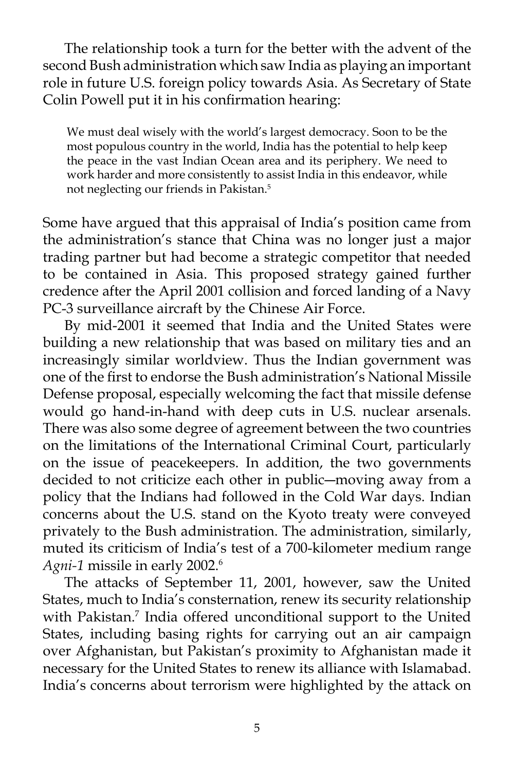The relationship took a turn for the better with the advent of the second Bush administration which saw India as playing an important role in future U.S. foreign policy towards Asia. As Secretary of State Colin Powell put it in his confirmation hearing:

We must deal wisely with the world's largest democracy. Soon to be the most populous country in the world, India has the potential to help keep the peace in the vast Indian Ocean area and its periphery. We need to work harder and more consistently to assist India in this endeavor, while not neglecting our friends in Pakistan.5

Some have argued that this appraisal of India's position came from the administration's stance that China was no longer just a major trading partner but had become a strategic competitor that needed to be contained in Asia. This proposed strategy gained further credence after the April 2001 collision and forced landing of a Navy PC-3 surveillance aircraft by the Chinese Air Force.

 By mid-2001 it seemed that India and the United States were building a new relationship that was based on military ties and an increasingly similar worldview. Thus the Indian government was one of the first to endorse the Bush administration's National Missile Defense proposal, especially welcoming the fact that missile defense would go hand-in-hand with deep cuts in U.S. nuclear arsenals. There was also some degree of agreement between the two countries on the limitations of the International Criminal Court, particularly on the issue of peacekeepers. In addition, the two governments decided to not criticize each other in public―moving away from a policy that the Indians had followed in the Cold War days. Indian concerns about the U.S. stand on the Kyoto treaty were conveyed privately to the Bush administration. The administration, similarly, muted its criticism of India's test of a 700-kilometer medium range *Agni-1* missile in early 2002.6

 The attacks of September 11, 2001, however, saw the United States, much to India's consternation, renew its security relationship with Pakistan.<sup>7</sup> India offered unconditional support to the United States, including basing rights for carrying out an air campaign over Afghanistan, but Pakistan's proximity to Afghanistan made it necessary for the United States to renew its alliance with Islamabad. India's concerns about terrorism were highlighted by the attack on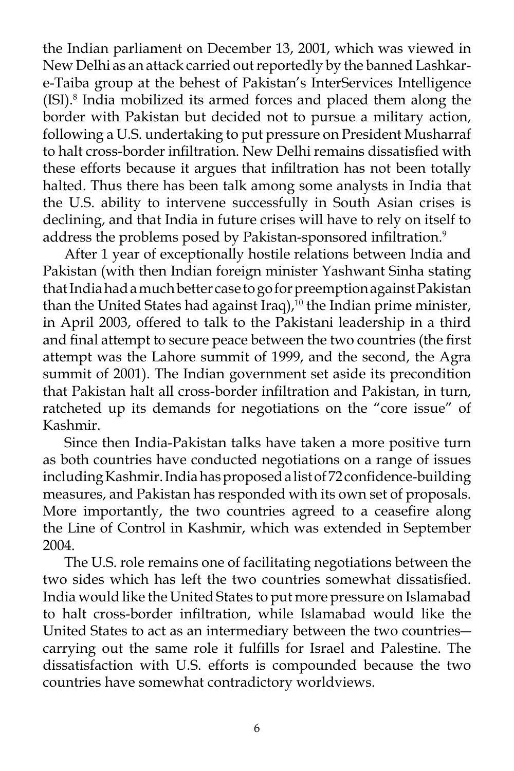the Indian parliament on December 13, 2001, which was viewed in New Delhi as an attack carried out reportedly by the banned Lashkare-Taiba group at the behest of Pakistan's InterServices Intelligence (ISI).8 India mobilized its armed forces and placed them along the border with Pakistan but decided not to pursue a military action, following a U.S. undertaking to put pressure on President Musharraf to halt cross-border infiltration. New Delhi remains dissatisfied with these efforts because it argues that infiltration has not been totally halted. Thus there has been talk among some analysts in India that the U.S. ability to intervene successfully in South Asian crises is declining, and that India in future crises will have to rely on itself to address the problems posed by Pakistan-sponsored infiltration.<sup>9</sup>

 After 1 year of exceptionally hostile relations between India and Pakistan (with then Indian foreign minister Yashwant Sinha stating that India had a much better case to go for preemption against Pakistan than the United States had against Iraq),<sup>10</sup> the Indian prime minister, in April 2003, offered to talk to the Pakistani leadership in a third and final attempt to secure peace between the two countries (the first attempt was the Lahore summit of 1999, and the second, the Agra summit of 2001). The Indian government set aside its precondition that Pakistan halt all cross-border infiltration and Pakistan, in turn, ratcheted up its demands for negotiations on the "core issue" of Kashmir.

 Since then India-Pakistan talks have taken a more positive turn as both countries have conducted negotiations on a range of issues including Kashmir. India has proposed a list of 72 confidence-building measures, and Pakistan has responded with its own set of proposals. More importantly, the two countries agreed to a ceasefire along the Line of Control in Kashmir, which was extended in September 2004.

 The U.S. role remains one of facilitating negotiations between the two sides which has left the two countries somewhat dissatisfied. India would like the United States to put more pressure on Islamabad to halt cross-border infiltration, while Islamabad would like the United States to act as an intermediary between the two countries― carrying out the same role it fulfills for Israel and Palestine. The dissatisfaction with U.S. efforts is compounded because the two countries have somewhat contradictory worldviews.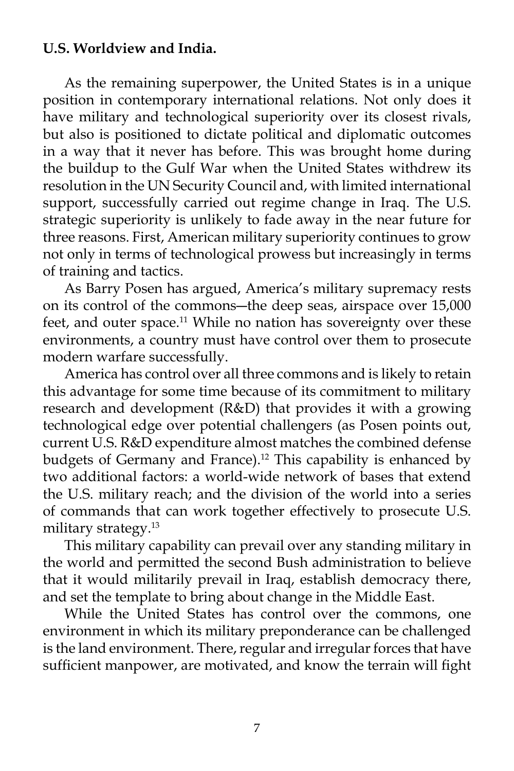## **U.S. Worldview and India.**

 As the remaining superpower, the United States is in a unique position in contemporary international relations. Not only does it have military and technological superiority over its closest rivals, but also is positioned to dictate political and diplomatic outcomes in a way that it never has before. This was brought home during the buildup to the Gulf War when the United States withdrew its resolution in the UN Security Council and, with limited international support, successfully carried out regime change in Iraq. The U.S. strategic superiority is unlikely to fade away in the near future for three reasons. First, American military superiority continues to grow not only in terms of technological prowess but increasingly in terms of training and tactics.

 As Barry Posen has argued, America's military supremacy rests on its control of the commons―the deep seas, airspace over 15,000 feet, and outer space.<sup>11</sup> While no nation has sovereignty over these environments, a country must have control over them to prosecute modern warfare successfully.

 America has control over all three commons and is likely to retain this advantage for some time because of its commitment to military research and development (R&D) that provides it with a growing technological edge over potential challengers (as Posen points out, current U.S. R&D expenditure almost matches the combined defense budgets of Germany and France).<sup>12</sup> This capability is enhanced by two additional factors: a world-wide network of bases that extend the U.S. military reach; and the division of the world into a series of commands that can work together effectively to prosecute U.S. military strategy.13

 This military capability can prevail over any standing military in the world and permitted the second Bush administration to believe that it would militarily prevail in Iraq, establish democracy there, and set the template to bring about change in the Middle East.

 While the United States has control over the commons, one environment in which its military preponderance can be challenged is the land environment. There, regular and irregular forces that have sufficient manpower, are motivated, and know the terrain will fight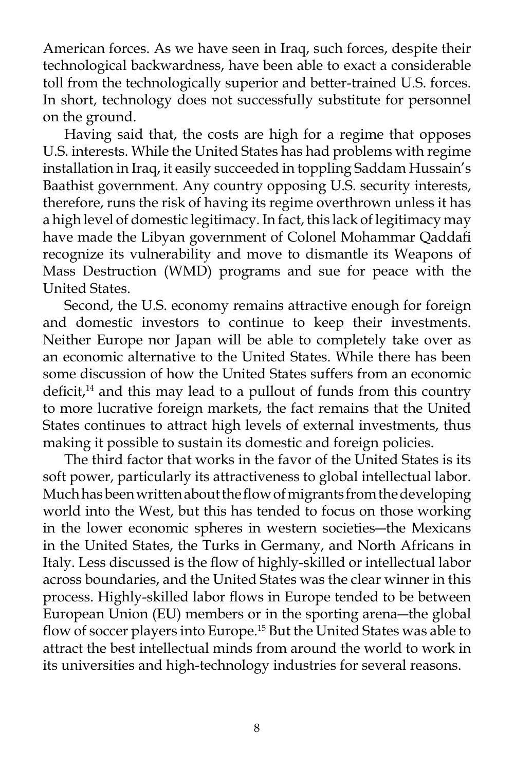American forces. As we have seen in Iraq, such forces, despite their technological backwardness, have been able to exact a considerable toll from the technologically superior and better-trained U.S. forces. In short, technology does not successfully substitute for personnel on the ground.

 Having said that, the costs are high for a regime that opposes U.S. interests. While the United States has had problems with regime installation in Iraq, it easily succeeded in toppling Saddam Hussain's Baathist government. Any country opposing U.S. security interests, therefore, runs the risk of having its regime overthrown unless it has a high level of domestic legitimacy. In fact, this lack of legitimacy may have made the Libyan government of Colonel Mohammar Qaddafi recognize its vulnerability and move to dismantle its Weapons of Mass Destruction (WMD) programs and sue for peace with the United States.

 Second, the U.S. economy remains attractive enough for foreign and domestic investors to continue to keep their investments. Neither Europe nor Japan will be able to completely take over as an economic alternative to the United States. While there has been some discussion of how the United States suffers from an economic deficit,<sup>14</sup> and this may lead to a pullout of funds from this country to more lucrative foreign markets, the fact remains that the United States continues to attract high levels of external investments, thus making it possible to sustain its domestic and foreign policies.

 The third factor that works in the favor of the United States is its soft power, particularly its attractiveness to global intellectual labor. Much has been written about the flow of migrants from the developing world into the West, but this has tended to focus on those working in the lower economic spheres in western societies―the Mexicans in the United States, the Turks in Germany, and North Africans in Italy. Less discussed is the flow of highly-skilled or intellectual labor across boundaries, and the United States was the clear winner in this process. Highly-skilled labor flows in Europe tended to be between European Union (EU) members or in the sporting arena―the global flow of soccer players into Europe.<sup>15</sup> But the United States was able to attract the best intellectual minds from around the world to work in its universities and high-technology industries for several reasons.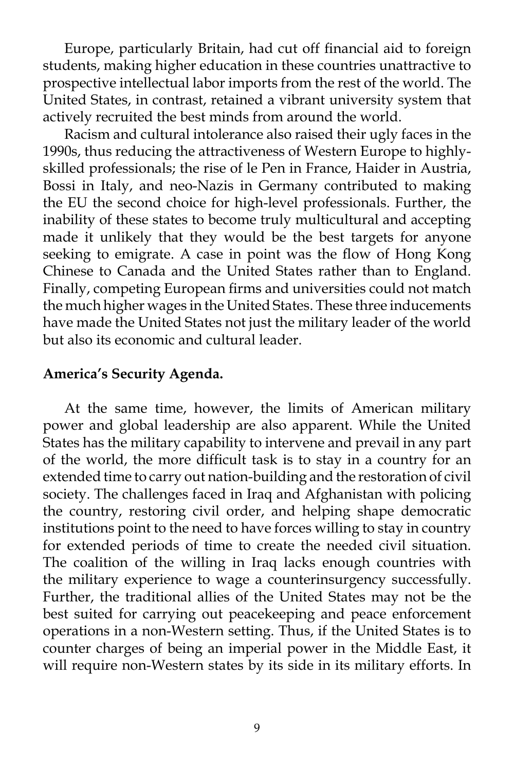Europe, particularly Britain, had cut off financial aid to foreign students, making higher education in these countries unattractive to prospective intellectual labor imports from the rest of the world. The United States, in contrast, retained a vibrant university system that actively recruited the best minds from around the world.

 Racism and cultural intolerance also raised their ugly faces in the 1990s, thus reducing the attractiveness of Western Europe to highlyskilled professionals; the rise of le Pen in France, Haider in Austria, Bossi in Italy, and neo-Nazis in Germany contributed to making the EU the second choice for high-level professionals. Further, the inability of these states to become truly multicultural and accepting made it unlikely that they would be the best targets for anyone seeking to emigrate. A case in point was the flow of Hong Kong Chinese to Canada and the United States rather than to England. Finally, competing European firms and universities could not match the much higher wages in the United States. These three inducements have made the United States not just the military leader of the world but also its economic and cultural leader.

### **America's Security Agenda.**

 At the same time, however, the limits of American military power and global leadership are also apparent. While the United States has the military capability to intervene and prevail in any part of the world, the more difficult task is to stay in a country for an extended time to carry out nation-building and the restoration of civil society. The challenges faced in Iraq and Afghanistan with policing the country, restoring civil order, and helping shape democratic institutions point to the need to have forces willing to stay in country for extended periods of time to create the needed civil situation. The coalition of the willing in Iraq lacks enough countries with the military experience to wage a counterinsurgency successfully. Further, the traditional allies of the United States may not be the best suited for carrying out peacekeeping and peace enforcement operations in a non-Western setting. Thus, if the United States is to counter charges of being an imperial power in the Middle East, it will require non-Western states by its side in its military efforts. In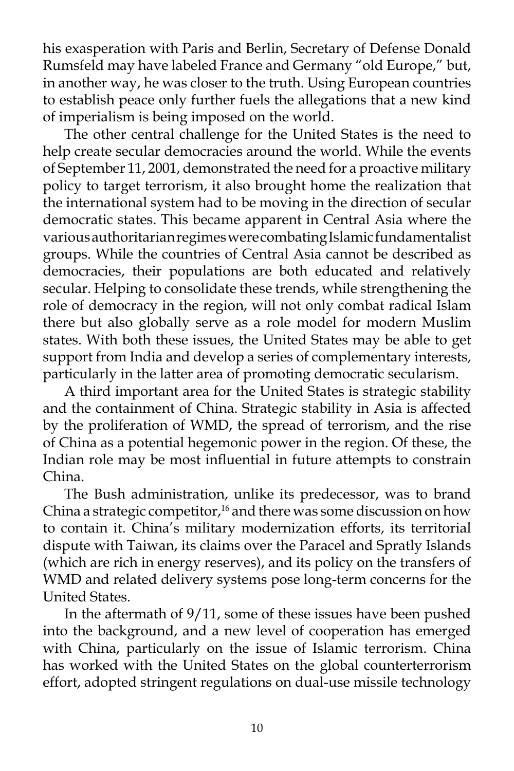his exasperation with Paris and Berlin, Secretary of Defense Donald Rumsfeld may have labeled France and Germany "old Europe," but, in another way, he was closer to the truth. Using European countries to establish peace only further fuels the allegations that a new kind of imperialism is being imposed on the world.

 The other central challenge for the United States is the need to help create secular democracies around the world. While the events of September 11, 2001, demonstrated the need for a proactive military policy to target terrorism, it also brought home the realization that the international system had to be moving in the direction of secular democratic states. This became apparent in Central Asia where the various authoritarian regimes were combating Islamic fundamentalist groups. While the countries of Central Asia cannot be described as democracies, their populations are both educated and relatively secular. Helping to consolidate these trends, while strengthening the role of democracy in the region, will not only combat radical Islam there but also globally serve as a role model for modern Muslim states. With both these issues, the United States may be able to get support from India and develop a series of complementary interests, particularly in the latter area of promoting democratic secularism.

 A third important area for the United States is strategic stability and the containment of China. Strategic stability in Asia is affected by the proliferation of WMD, the spread of terrorism, and the rise of China as a potential hegemonic power in the region. Of these, the Indian role may be most influential in future attempts to constrain China.

 The Bush administration, unlike its predecessor, was to brand China a strategic competitor,<sup>16</sup> and there was some discussion on how to contain it. China's military modernization efforts, its territorial dispute with Taiwan, its claims over the Paracel and Spratly Islands (which are rich in energy reserves), and its policy on the transfers of WMD and related delivery systems pose long-term concerns for the United States.

 In the aftermath of 9/11, some of these issues have been pushed into the background, and a new level of cooperation has emerged with China, particularly on the issue of Islamic terrorism. China has worked with the United States on the global counterterrorism effort, adopted stringent regulations on dual-use missile technology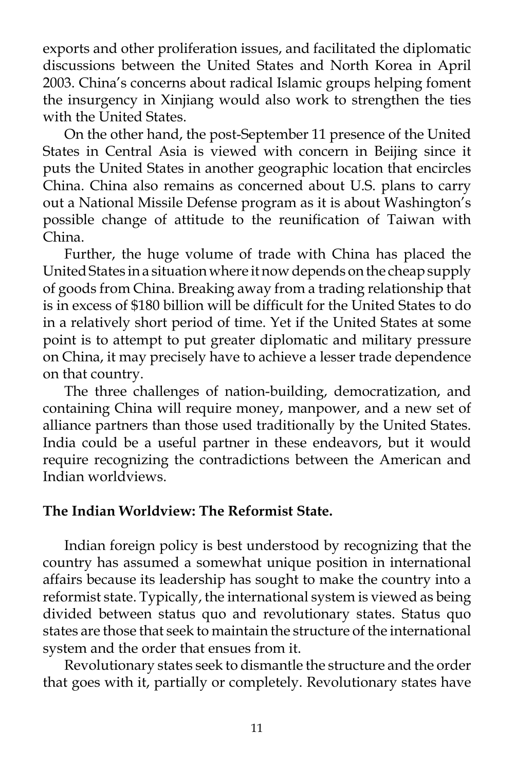exports and other proliferation issues, and facilitated the diplomatic discussions between the United States and North Korea in April 2003. China's concerns about radical Islamic groups helping foment the insurgency in Xinjiang would also work to strengthen the ties with the United States.

 On the other hand, the post-September 11 presence of the United States in Central Asia is viewed with concern in Beijing since it puts the United States in another geographic location that encircles China. China also remains as concerned about U.S. plans to carry out a National Missile Defense program as it is about Washington's possible change of attitude to the reunification of Taiwan with China.

 Further, the huge volume of trade with China has placed the United States in a situation where it now depends on the cheap supply of goods from China. Breaking away from a trading relationship that is in excess of \$180 billion will be difficult for the United States to do in a relatively short period of time. Yet if the United States at some point is to attempt to put greater diplomatic and military pressure on China, it may precisely have to achieve a lesser trade dependence on that country.

 The three challenges of nation-building, democratization, and containing China will require money, manpower, and a new set of alliance partners than those used traditionally by the United States. India could be a useful partner in these endeavors, but it would require recognizing the contradictions between the American and Indian worldviews.

### **The Indian Worldview: The Reformist State.**

 Indian foreign policy is best understood by recognizing that the country has assumed a somewhat unique position in international affairs because its leadership has sought to make the country into a reformist state. Typically, the international system is viewed as being divided between status quo and revolutionary states. Status quo states are those that seek to maintain the structure of the international system and the order that ensues from it.

 Revolutionary states seek to dismantle the structure and the order that goes with it, partially or completely. Revolutionary states have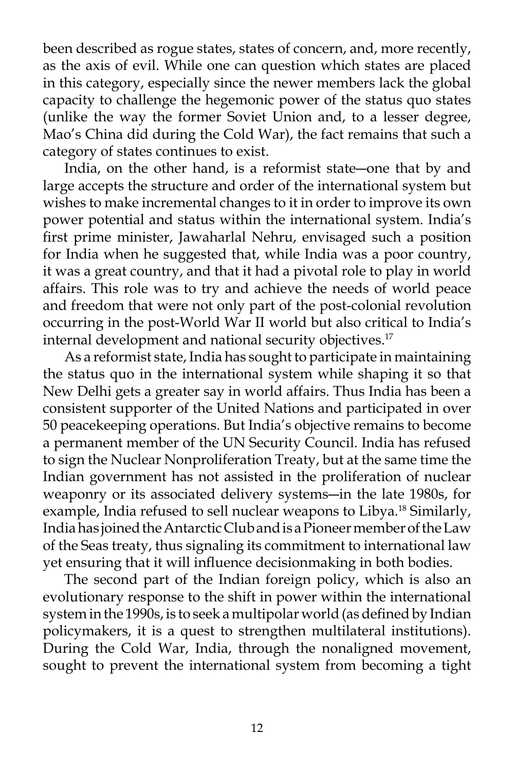been described as rogue states, states of concern, and, more recently, as the axis of evil. While one can question which states are placed in this category, especially since the newer members lack the global capacity to challenge the hegemonic power of the status quo states (unlike the way the former Soviet Union and, to a lesser degree, Mao's China did during the Cold War), the fact remains that such a category of states continues to exist.

 India, on the other hand, is a reformist state―one that by and large accepts the structure and order of the international system but wishes to make incremental changes to it in order to improve its own power potential and status within the international system. India's first prime minister, Jawaharlal Nehru, envisaged such a position for India when he suggested that, while India was a poor country, it was a great country, and that it had a pivotal role to play in world affairs. This role was to try and achieve the needs of world peace and freedom that were not only part of the post-colonial revolution occurring in the post-World War II world but also critical to India's internal development and national security objectives.<sup>17</sup>

 As a reformist state, India has sought to participate in maintaining the status quo in the international system while shaping it so that New Delhi gets a greater say in world affairs. Thus India has been a consistent supporter of the United Nations and participated in over 50 peacekeeping operations. But India's objective remains to become a permanent member of the UN Security Council. India has refused to sign the Nuclear Nonproliferation Treaty, but at the same time the Indian government has not assisted in the proliferation of nuclear weaponry or its associated delivery systems―in the late 1980s, for example, India refused to sell nuclear weapons to Libya.<sup>18</sup> Similarly, India has joined the Antarctic Club and is a Pioneer member of the Law of the Seas treaty, thus signaling its commitment to international law yet ensuring that it will influence decisionmaking in both bodies.

 The second part of the Indian foreign policy, which is also an evolutionary response to the shift in power within the international system in the 1990s, is to seek a multipolar world (as defined by Indian policymakers, it is a quest to strengthen multilateral institutions). During the Cold War, India, through the nonaligned movement, sought to prevent the international system from becoming a tight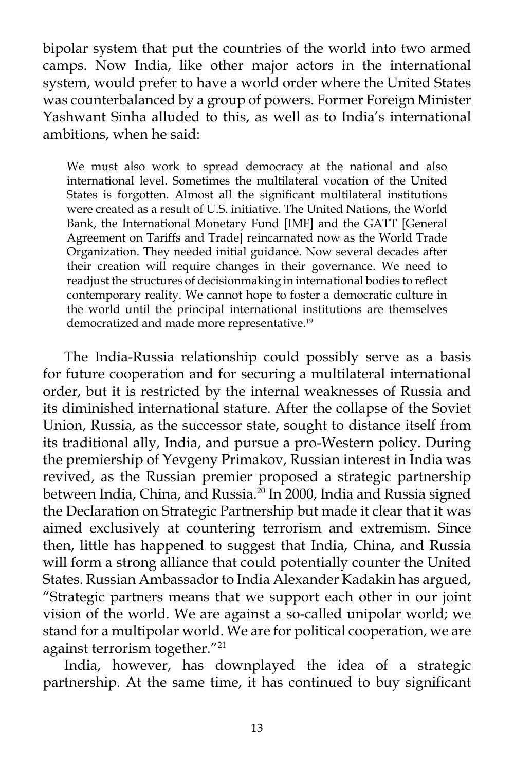bipolar system that put the countries of the world into two armed camps. Now India, like other major actors in the international system, would prefer to have a world order where the United States was counterbalanced by a group of powers. Former Foreign Minister Yashwant Sinha alluded to this, as well as to India's international ambitions, when he said:

We must also work to spread democracy at the national and also international level. Sometimes the multilateral vocation of the United States is forgotten. Almost all the significant multilateral institutions were created as a result of U.S. initiative. The United Nations, the World Bank, the International Monetary Fund [IMF] and the GATT [General Agreement on Tariffs and Trade] reincarnated now as the World Trade Organization. They needed initial guidance. Now several decades after their creation will require changes in their governance. We need to readjust the structures of decisionmaking in international bodies to reflect contemporary reality. We cannot hope to foster a democratic culture in the world until the principal international institutions are themselves democratized and made more representative.<sup>19</sup>

 The India-Russia relationship could possibly serve as a basis for future cooperation and for securing a multilateral international order, but it is restricted by the internal weaknesses of Russia and its diminished international stature. After the collapse of the Soviet Union, Russia, as the successor state, sought to distance itself from its traditional ally, India, and pursue a pro-Western policy. During the premiership of Yevgeny Primakov, Russian interest in India was revived, as the Russian premier proposed a strategic partnership between India, China, and Russia.<sup>20</sup> In 2000, India and Russia signed the Declaration on Strategic Partnership but made it clear that it was aimed exclusively at countering terrorism and extremism. Since then, little has happened to suggest that India, China, and Russia will form a strong alliance that could potentially counter the United States. Russian Ambassador to India Alexander Kadakin has argued, "Strategic partners means that we support each other in our joint vision of the world. We are against a so-called unipolar world; we stand for a multipolar world. We are for political cooperation, we are against terrorism together."21

 India, however, has downplayed the idea of a strategic partnership. At the same time, it has continued to buy significant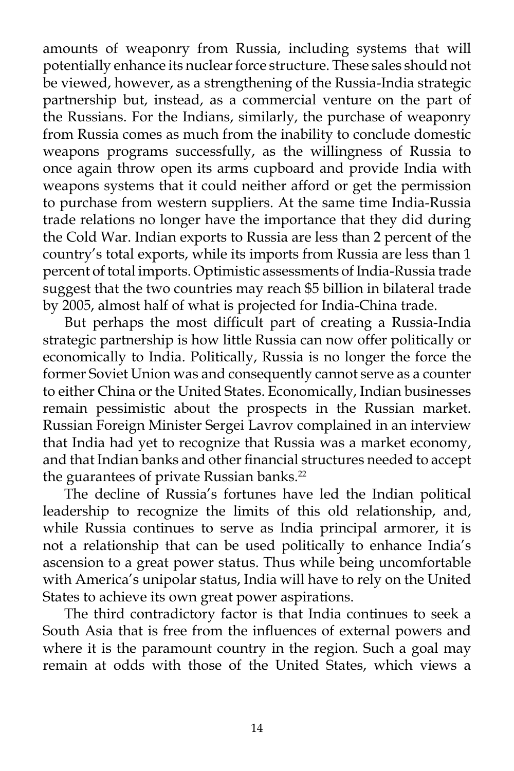amounts of weaponry from Russia, including systems that will potentially enhance its nuclear force structure. These sales should not be viewed, however, as a strengthening of the Russia-India strategic partnership but, instead, as a commercial venture on the part of the Russians. For the Indians, similarly, the purchase of weaponry from Russia comes as much from the inability to conclude domestic weapons programs successfully, as the willingness of Russia to once again throw open its arms cupboard and provide India with weapons systems that it could neither afford or get the permission to purchase from western suppliers. At the same time India-Russia trade relations no longer have the importance that they did during the Cold War. Indian exports to Russia are less than 2 percent of the country's total exports, while its imports from Russia are less than 1 percent of total imports. Optimistic assessments of India-Russia trade suggest that the two countries may reach \$5 billion in bilateral trade by 2005, almost half of what is projected for India-China trade.

 But perhaps the most difficult part of creating a Russia-India strategic partnership is how little Russia can now offer politically or economically to India. Politically, Russia is no longer the force the former Soviet Union was and consequently cannot serve as a counter to either China or the United States. Economically, Indian businesses remain pessimistic about the prospects in the Russian market. Russian Foreign Minister Sergei Lavrov complained in an interview that India had yet to recognize that Russia was a market economy, and that Indian banks and other financial structures needed to accept the guarantees of private Russian banks.<sup>22</sup>

 The decline of Russia's fortunes have led the Indian political leadership to recognize the limits of this old relationship, and, while Russia continues to serve as India principal armorer, it is not a relationship that can be used politically to enhance India's ascension to a great power status. Thus while being uncomfortable with America's unipolar status, India will have to rely on the United States to achieve its own great power aspirations.

 The third contradictory factor is that India continues to seek a South Asia that is free from the influences of external powers and where it is the paramount country in the region. Such a goal may remain at odds with those of the United States, which views a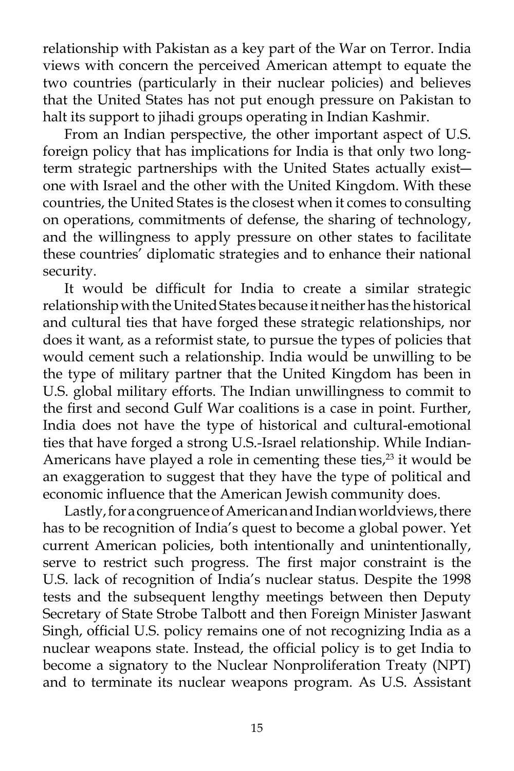relationship with Pakistan as a key part of the War on Terror. India views with concern the perceived American attempt to equate the two countries (particularly in their nuclear policies) and believes that the United States has not put enough pressure on Pakistan to halt its support to jihadi groups operating in Indian Kashmir.

 From an Indian perspective, the other important aspect of U.S. foreign policy that has implications for India is that only two longterm strategic partnerships with the United States actually exist― one with Israel and the other with the United Kingdom. With these countries, the United States is the closest when it comes to consulting on operations, commitments of defense, the sharing of technology, and the willingness to apply pressure on other states to facilitate these countries' diplomatic strategies and to enhance their national security.

 It would be difficult for India to create a similar strategic relationship with the United States because it neither has the historical and cultural ties that have forged these strategic relationships, nor does it want, as a reformist state, to pursue the types of policies that would cement such a relationship. India would be unwilling to be the type of military partner that the United Kingdom has been in U.S. global military efforts. The Indian unwillingness to commit to the first and second Gulf War coalitions is a case in point. Further, India does not have the type of historical and cultural-emotional ties that have forged a strong U.S.-Israel relationship. While Indian-Americans have played a role in cementing these ties, $2<sup>3</sup>$  it would be an exaggeration to suggest that they have the type of political and economic influence that the American Jewish community does.

 Lastly, for a congruence of American and Indian worldviews, there has to be recognition of India's quest to become a global power. Yet current American policies, both intentionally and unintentionally, serve to restrict such progress. The first major constraint is the U.S. lack of recognition of India's nuclear status. Despite the 1998 tests and the subsequent lengthy meetings between then Deputy Secretary of State Strobe Talbott and then Foreign Minister Jaswant Singh, official U.S. policy remains one of not recognizing India as a nuclear weapons state. Instead, the official policy is to get India to become a signatory to the Nuclear Nonproliferation Treaty (NPT) and to terminate its nuclear weapons program. As U.S. Assistant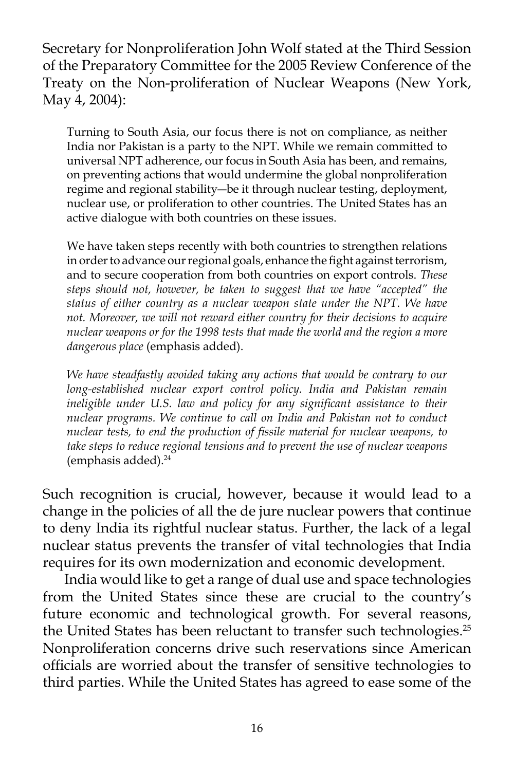Secretary for Nonproliferation John Wolf stated at the Third Session of the Preparatory Committee for the 2005 Review Conference of the Treaty on the Non-proliferation of Nuclear Weapons (New York, May 4, 2004):

Turning to South Asia, our focus there is not on compliance, as neither India nor Pakistan is a party to the NPT. While we remain committed to universal NPT adherence, our focus in South Asia has been, and remains, on preventing actions that would undermine the global nonproliferation regime and regional stability―be it through nuclear testing, deployment, nuclear use, or proliferation to other countries. The United States has an active dialogue with both countries on these issues.

We have taken steps recently with both countries to strengthen relations in order to advance our regional goals, enhance the fight against terrorism, and to secure cooperation from both countries on export controls. *These steps should not, however, be taken to suggest that we have "accepted" the status of either country as a nuclear weapon state under the NPT. We have not. Moreover, we will not reward either country for their decisions to acquire nuclear weapons or for the 1998 tests that made the world and the region a more dangerous place* (emphasis added).

*We have steadfastly avoided taking any actions that would be contrary to our long-established nuclear export control policy. India and Pakistan remain ineligible under U.S. law and policy for any significant assistance to their nuclear programs. We continue to call on India and Pakistan not to conduct nuclear tests, to end the production of fissile material for nuclear weapons, to take steps to reduce regional tensions and to prevent the use of nuclear weapons*  (emphasis added). $24$ 

Such recognition is crucial, however, because it would lead to a change in the policies of all the de jure nuclear powers that continue to deny India its rightful nuclear status. Further, the lack of a legal nuclear status prevents the transfer of vital technologies that India requires for its own modernization and economic development.

 India would like to get a range of dual use and space technologies from the United States since these are crucial to the country's future economic and technological growth. For several reasons, the United States has been reluctant to transfer such technologies.<sup>25</sup> Nonproliferation concerns drive such reservations since American officials are worried about the transfer of sensitive technologies to third parties. While the United States has agreed to ease some of the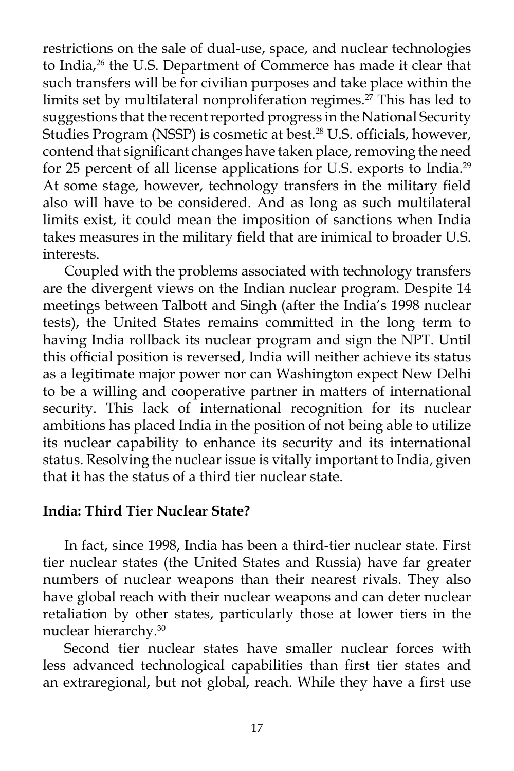restrictions on the sale of dual-use, space, and nuclear technologies to India,<sup>26</sup> the U.S. Department of Commerce has made it clear that such transfers will be for civilian purposes and take place within the limits set by multilateral nonproliferation regimes.<sup>27</sup> This has led to suggestions that the recent reported progress in the National Security Studies Program (NSSP) is cosmetic at best.<sup>28</sup> U.S. officials, however, contend that significant changes have taken place, removing the need for 25 percent of all license applications for U.S. exports to India.<sup>29</sup> At some stage, however, technology transfers in the military field also will have to be considered. And as long as such multilateral limits exist, it could mean the imposition of sanctions when India takes measures in the military field that are inimical to broader U.S. interests.

 Coupled with the problems associated with technology transfers are the divergent views on the Indian nuclear program. Despite 14 meetings between Talbott and Singh (after the India's 1998 nuclear tests), the United States remains committed in the long term to having India rollback its nuclear program and sign the NPT. Until this official position is reversed, India will neither achieve its status as a legitimate major power nor can Washington expect New Delhi to be a willing and cooperative partner in matters of international security. This lack of international recognition for its nuclear ambitions has placed India in the position of not being able to utilize its nuclear capability to enhance its security and its international status. Resolving the nuclear issue is vitally important to India, given that it has the status of a third tier nuclear state.

# **India: Third Tier Nuclear State?**

 In fact, since 1998, India has been a third-tier nuclear state. First tier nuclear states (the United States and Russia) have far greater numbers of nuclear weapons than their nearest rivals. They also have global reach with their nuclear weapons and can deter nuclear retaliation by other states, particularly those at lower tiers in the nuclear hierarchy.30

 Second tier nuclear states have smaller nuclear forces with less advanced technological capabilities than first tier states and an extraregional, but not global, reach. While they have a first use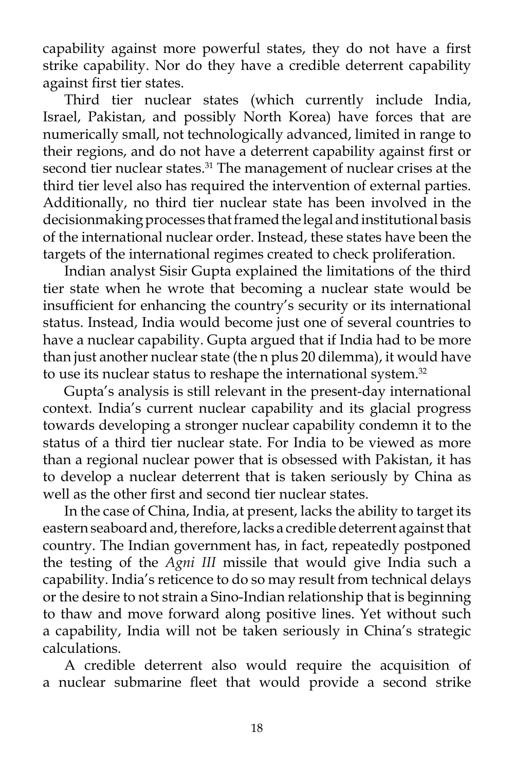capability against more powerful states, they do not have a first strike capability. Nor do they have a credible deterrent capability against first tier states.

 Third tier nuclear states (which currently include India, Israel, Pakistan, and possibly North Korea) have forces that are numerically small, not technologically advanced, limited in range to their regions, and do not have a deterrent capability against first or second tier nuclear states.<sup>31</sup> The management of nuclear crises at the third tier level also has required the intervention of external parties. Additionally, no third tier nuclear state has been involved in the decisionmaking processes that framed the legal and institutional basis of the international nuclear order. Instead, these states have been the targets of the international regimes created to check proliferation.

 Indian analyst Sisir Gupta explained the limitations of the third tier state when he wrote that becoming a nuclear state would be insufficient for enhancing the country's security or its international status. Instead, India would become just one of several countries to have a nuclear capability. Gupta argued that if India had to be more than just another nuclear state (the n plus 20 dilemma), it would have to use its nuclear status to reshape the international system.<sup>32</sup>

 Gupta's analysis is still relevant in the present-day international context. India's current nuclear capability and its glacial progress towards developing a stronger nuclear capability condemn it to the status of a third tier nuclear state. For India to be viewed as more than a regional nuclear power that is obsessed with Pakistan, it has to develop a nuclear deterrent that is taken seriously by China as well as the other first and second tier nuclear states.

 In the case of China, India, at present, lacks the ability to target its eastern seaboard and, therefore, lacks a credible deterrent against that country. The Indian government has, in fact, repeatedly postponed the testing of the *Agni III* missile that would give India such a capability. India's reticence to do so may result from technical delays or the desire to not strain a Sino-Indian relationship that is beginning to thaw and move forward along positive lines. Yet without such a capability, India will not be taken seriously in China's strategic calculations.

 A credible deterrent also would require the acquisition of a nuclear submarine fleet that would provide a second strike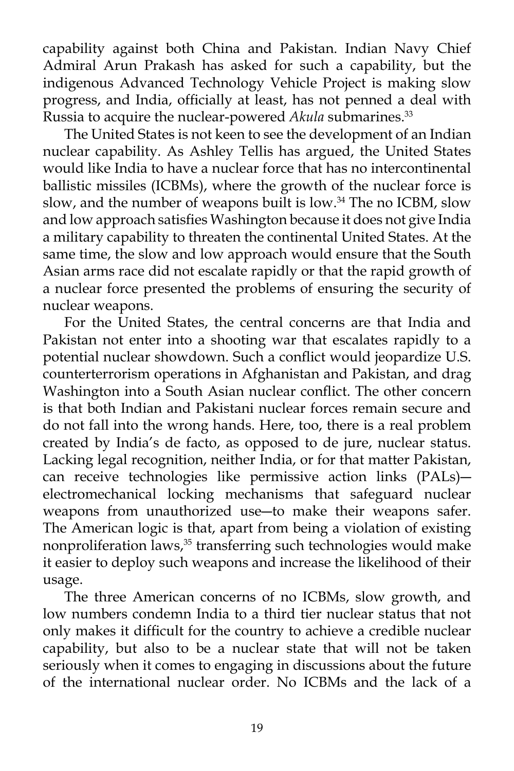capability against both China and Pakistan. Indian Navy Chief Admiral Arun Prakash has asked for such a capability, but the indigenous Advanced Technology Vehicle Project is making slow progress, and India, officially at least, has not penned a deal with Russia to acquire the nuclear-powered *Akula* submarines.<sup>33</sup>

 The United States is not keen to see the development of an Indian nuclear capability. As Ashley Tellis has argued, the United States would like India to have a nuclear force that has no intercontinental ballistic missiles (ICBMs), where the growth of the nuclear force is slow, and the number of weapons built is low.<sup>34</sup> The no ICBM, slow and low approach satisfies Washington because it does not give India a military capability to threaten the continental United States. At the same time, the slow and low approach would ensure that the South Asian arms race did not escalate rapidly or that the rapid growth of a nuclear force presented the problems of ensuring the security of nuclear weapons.

 For the United States, the central concerns are that India and Pakistan not enter into a shooting war that escalates rapidly to a potential nuclear showdown. Such a conflict would jeopardize U.S. counterterrorism operations in Afghanistan and Pakistan, and drag Washington into a South Asian nuclear conflict. The other concern is that both Indian and Pakistani nuclear forces remain secure and do not fall into the wrong hands. Here, too, there is a real problem created by India's de facto, as opposed to de jure, nuclear status. Lacking legal recognition, neither India, or for that matter Pakistan, can receive technologies like permissive action links (PALs)― electromechanical locking mechanisms that safeguard nuclear weapons from unauthorized use―to make their weapons safer. The American logic is that, apart from being a violation of existing nonproliferation laws,<sup>35</sup> transferring such technologies would make it easier to deploy such weapons and increase the likelihood of their usage.

 The three American concerns of no ICBMs, slow growth, and low numbers condemn India to a third tier nuclear status that not only makes it difficult for the country to achieve a credible nuclear capability, but also to be a nuclear state that will not be taken seriously when it comes to engaging in discussions about the future of the international nuclear order. No ICBMs and the lack of a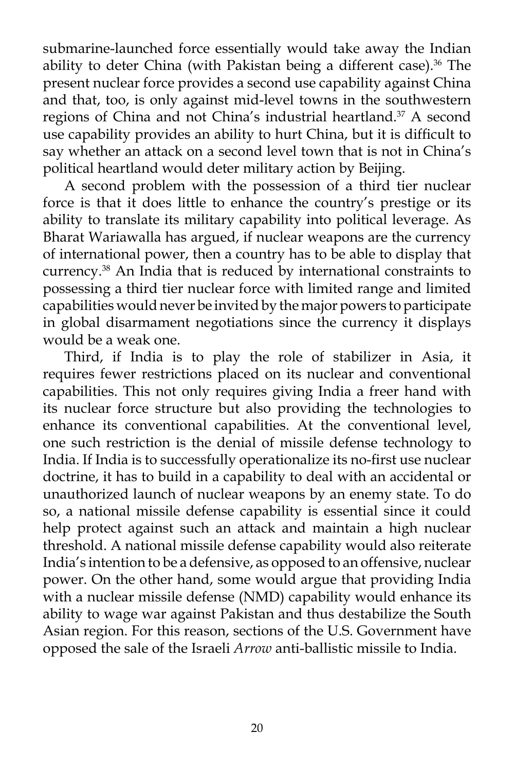submarine-launched force essentially would take away the Indian ability to deter China (with Pakistan being a different case). $36$  The present nuclear force provides a second use capability against China and that, too, is only against mid-level towns in the southwestern regions of China and not China's industrial heartland.<sup>37</sup> A second use capability provides an ability to hurt China, but it is difficult to say whether an attack on a second level town that is not in China's political heartland would deter military action by Beijing.

 A second problem with the possession of a third tier nuclear force is that it does little to enhance the country's prestige or its ability to translate its military capability into political leverage. As Bharat Wariawalla has argued, if nuclear weapons are the currency of international power, then a country has to be able to display that currency.38 An India that is reduced by international constraints to possessing a third tier nuclear force with limited range and limited capabilities would never be invited by the major powers to participate in global disarmament negotiations since the currency it displays would be a weak one.

 Third, if India is to play the role of stabilizer in Asia, it requires fewer restrictions placed on its nuclear and conventional capabilities. This not only requires giving India a freer hand with its nuclear force structure but also providing the technologies to enhance its conventional capabilities. At the conventional level, one such restriction is the denial of missile defense technology to India. If India is to successfully operationalize its no-first use nuclear doctrine, it has to build in a capability to deal with an accidental or unauthorized launch of nuclear weapons by an enemy state. To do so, a national missile defense capability is essential since it could help protect against such an attack and maintain a high nuclear threshold. A national missile defense capability would also reiterate India's intention to be a defensive, as opposed to an offensive, nuclear power. On the other hand, some would argue that providing India with a nuclear missile defense (NMD) capability would enhance its ability to wage war against Pakistan and thus destabilize the South Asian region. For this reason, sections of the U.S. Government have opposed the sale of the Israeli *Arrow* anti-ballistic missile to India.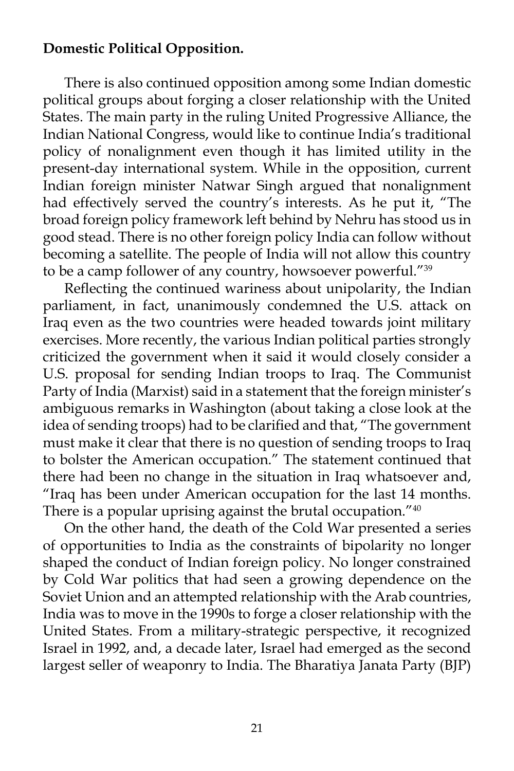# **Domestic Political Opposition.**

 There is also continued opposition among some Indian domestic political groups about forging a closer relationship with the United States. The main party in the ruling United Progressive Alliance, the Indian National Congress, would like to continue India's traditional policy of nonalignment even though it has limited utility in the present-day international system. While in the opposition, current Indian foreign minister Natwar Singh argued that nonalignment had effectively served the country's interests. As he put it, "The broad foreign policy framework left behind by Nehru has stood us in good stead. There is no other foreign policy India can follow without becoming a satellite. The people of India will not allow this country to be a camp follower of any country, howsoever powerful."39

 Reflecting the continued wariness about unipolarity, the Indian parliament, in fact, unanimously condemned the U.S. attack on Iraq even as the two countries were headed towards joint military exercises. More recently, the various Indian political parties strongly criticized the government when it said it would closely consider a U.S. proposal for sending Indian troops to Iraq. The Communist Party of India (Marxist) said in a statement that the foreign minister's ambiguous remarks in Washington (about taking a close look at the idea of sending troops) had to be clarified and that, "The government must make it clear that there is no question of sending troops to Iraq to bolster the American occupation." The statement continued that there had been no change in the situation in Iraq whatsoever and, "Iraq has been under American occupation for the last 14 months. There is a popular uprising against the brutal occupation."<sup>40</sup>

 On the other hand, the death of the Cold War presented a series of opportunities to India as the constraints of bipolarity no longer shaped the conduct of Indian foreign policy. No longer constrained by Cold War politics that had seen a growing dependence on the Soviet Union and an attempted relationship with the Arab countries, India was to move in the 1990s to forge a closer relationship with the United States. From a military-strategic perspective, it recognized Israel in 1992, and, a decade later, Israel had emerged as the second largest seller of weaponry to India. The Bharatiya Janata Party (BJP)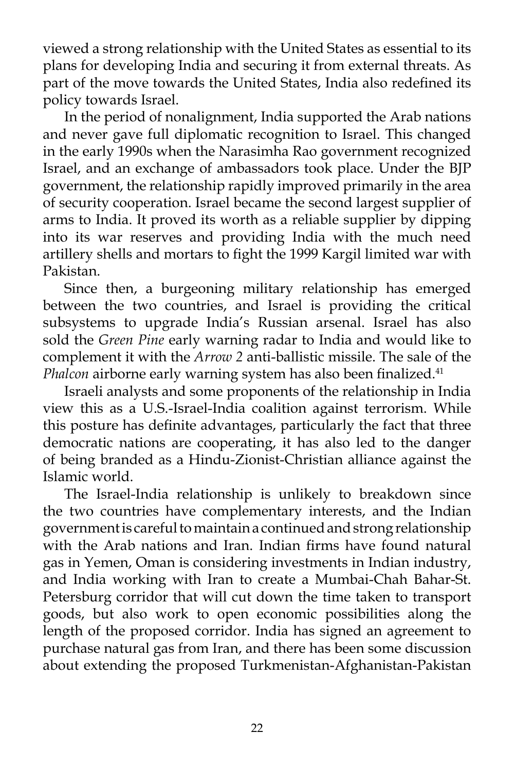viewed a strong relationship with the United States as essential to its plans for developing India and securing it from external threats. As part of the move towards the United States, India also redefined its policy towards Israel.

 In the period of nonalignment, India supported the Arab nations and never gave full diplomatic recognition to Israel. This changed in the early 1990s when the Narasimha Rao government recognized Israel, and an exchange of ambassadors took place. Under the BJP government, the relationship rapidly improved primarily in the area of security cooperation. Israel became the second largest supplier of arms to India. It proved its worth as a reliable supplier by dipping into its war reserves and providing India with the much need artillery shells and mortars to fight the 1999 Kargil limited war with Pakistan.

 Since then, a burgeoning military relationship has emerged between the two countries, and Israel is providing the critical subsystems to upgrade India's Russian arsenal. Israel has also sold the *Green Pine* early warning radar to India and would like to complement it with the *Arrow 2* anti-ballistic missile. The sale of the *Phalcon* airborne early warning system has also been finalized.<sup>41</sup>

 Israeli analysts and some proponents of the relationship in India view this as a U.S.-Israel-India coalition against terrorism. While this posture has definite advantages, particularly the fact that three democratic nations are cooperating, it has also led to the danger of being branded as a Hindu-Zionist-Christian alliance against the Islamic world.

 The Israel-India relationship is unlikely to breakdown since the two countries have complementary interests, and the Indian government is careful to maintain a continued and strong relationship with the Arab nations and Iran. Indian firms have found natural gas in Yemen, Oman is considering investments in Indian industry, and India working with Iran to create a Mumbai-Chah Bahar-St. Petersburg corridor that will cut down the time taken to transport goods, but also work to open economic possibilities along the length of the proposed corridor. India has signed an agreement to purchase natural gas from Iran, and there has been some discussion about extending the proposed Turkmenistan-Afghanistan-Pakistan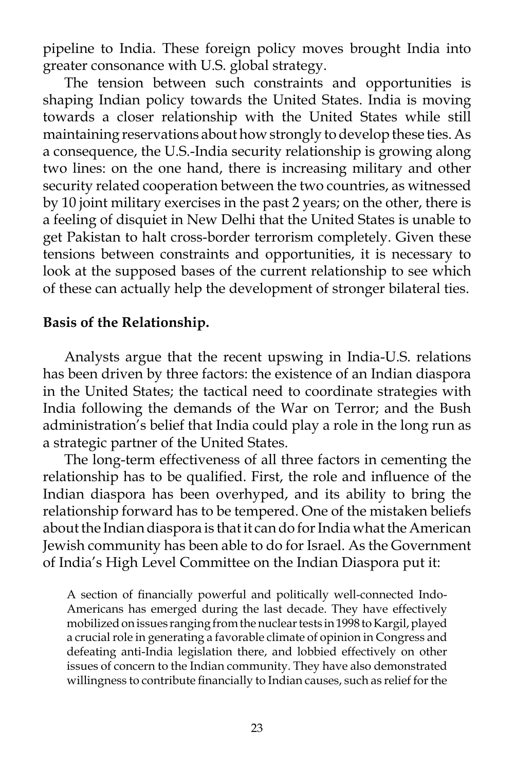pipeline to India. These foreign policy moves brought India into greater consonance with U.S. global strategy.

 The tension between such constraints and opportunities is shaping Indian policy towards the United States. India is moving towards a closer relationship with the United States while still maintaining reservations about how strongly to develop these ties. As a consequence, the U.S.-India security relationship is growing along two lines: on the one hand, there is increasing military and other security related cooperation between the two countries, as witnessed by 10 joint military exercises in the past 2 years; on the other, there is a feeling of disquiet in New Delhi that the United States is unable to get Pakistan to halt cross-border terrorism completely. Given these tensions between constraints and opportunities, it is necessary to look at the supposed bases of the current relationship to see which of these can actually help the development of stronger bilateral ties.

### **Basis of the Relationship.**

 Analysts argue that the recent upswing in India-U.S. relations has been driven by three factors: the existence of an Indian diaspora in the United States; the tactical need to coordinate strategies with India following the demands of the War on Terror; and the Bush administration's belief that India could play a role in the long run as a strategic partner of the United States.

 The long-term effectiveness of all three factors in cementing the relationship has to be qualified. First, the role and influence of the Indian diaspora has been overhyped, and its ability to bring the relationship forward has to be tempered. One of the mistaken beliefs about the Indian diaspora is that it can do for India what the American Jewish community has been able to do for Israel. As the Government of India's High Level Committee on the Indian Diaspora put it:

A section of financially powerful and politically well-connected Indo-Americans has emerged during the last decade. They have effectively mobilized on issues ranging from the nuclear tests in 1998 to Kargil, played a crucial role in generating a favorable climate of opinion in Congress and defeating anti-India legislation there, and lobbied effectively on other issues of concern to the Indian community. They have also demonstrated willingness to contribute financially to Indian causes, such as relief for the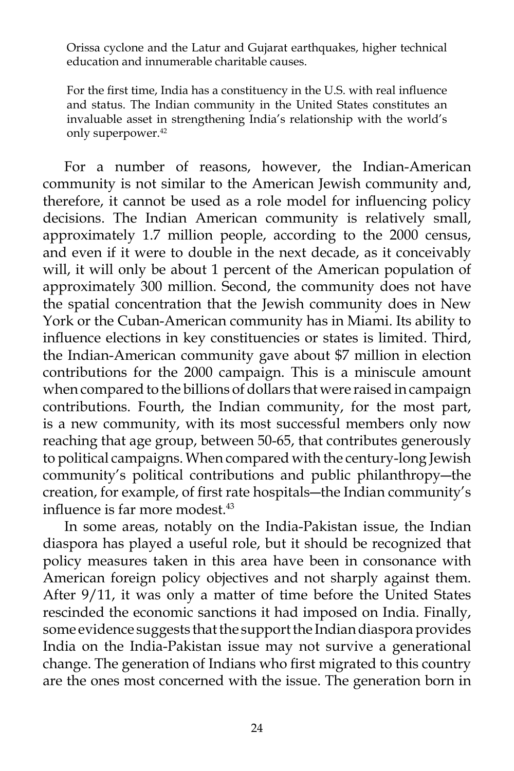Orissa cyclone and the Latur and Gujarat earthquakes, higher technical education and innumerable charitable causes.

For the first time, India has a constituency in the U.S. with real influence and status. The Indian community in the United States constitutes an invaluable asset in strengthening India's relationship with the world's only superpower.<sup>42</sup>

 For a number of reasons, however, the Indian-American community is not similar to the American Jewish community and, therefore, it cannot be used as a role model for influencing policy decisions. The Indian American community is relatively small, approximately 1.7 million people, according to the 2000 census, and even if it were to double in the next decade, as it conceivably will, it will only be about 1 percent of the American population of approximately 300 million. Second, the community does not have the spatial concentration that the Jewish community does in New York or the Cuban-American community has in Miami. Its ability to influence elections in key constituencies or states is limited. Third, the Indian-American community gave about \$7 million in election contributions for the 2000 campaign. This is a miniscule amount when compared to the billions of dollars that were raised in campaign contributions. Fourth, the Indian community, for the most part, is a new community, with its most successful members only now reaching that age group, between 50-65, that contributes generously to political campaigns. When compared with the century-long Jewish community's political contributions and public philanthropy―the creation, for example, of first rate hospitals―the Indian community's influence is far more modest.<sup>43</sup>

 In some areas, notably on the India-Pakistan issue, the Indian diaspora has played a useful role, but it should be recognized that policy measures taken in this area have been in consonance with American foreign policy objectives and not sharply against them. After 9/11, it was only a matter of time before the United States rescinded the economic sanctions it had imposed on India. Finally, some evidence suggests that the support the Indian diaspora provides India on the India-Pakistan issue may not survive a generational change. The generation of Indians who first migrated to this country are the ones most concerned with the issue. The generation born in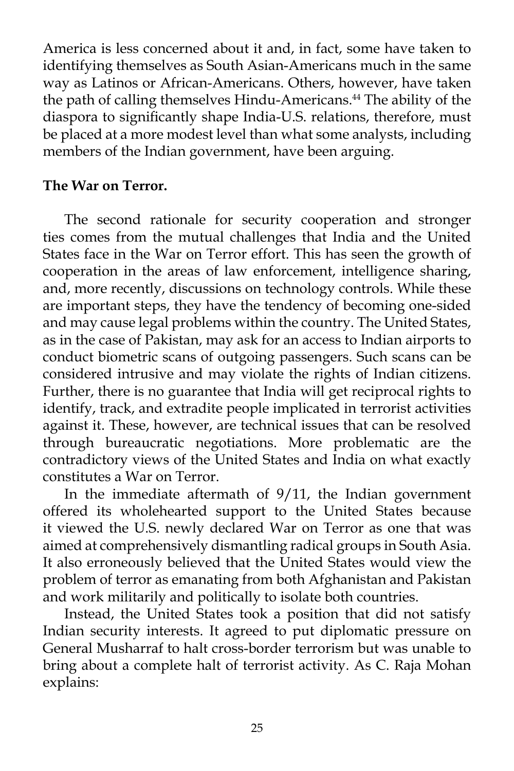America is less concerned about it and, in fact, some have taken to identifying themselves as South Asian-Americans much in the same way as Latinos or African-Americans. Others, however, have taken the path of calling themselves Hindu-Americans.<sup>44</sup> The ability of the diaspora to significantly shape India-U.S. relations, therefore, must be placed at a more modest level than what some analysts, including members of the Indian government, have been arguing.

## **The War on Terror.**

 The second rationale for security cooperation and stronger ties comes from the mutual challenges that India and the United States face in the War on Terror effort. This has seen the growth of cooperation in the areas of law enforcement, intelligence sharing, and, more recently, discussions on technology controls. While these are important steps, they have the tendency of becoming one-sided and may cause legal problems within the country. The United States, as in the case of Pakistan, may ask for an access to Indian airports to conduct biometric scans of outgoing passengers. Such scans can be considered intrusive and may violate the rights of Indian citizens. Further, there is no guarantee that India will get reciprocal rights to identify, track, and extradite people implicated in terrorist activities against it. These, however, are technical issues that can be resolved through bureaucratic negotiations. More problematic are the contradictory views of the United States and India on what exactly constitutes a War on Terror.

 In the immediate aftermath of 9/11, the Indian government offered its wholehearted support to the United States because it viewed the U.S. newly declared War on Terror as one that was aimed at comprehensively dismantling radical groups in South Asia. It also erroneously believed that the United States would view the problem of terror as emanating from both Afghanistan and Pakistan and work militarily and politically to isolate both countries.

 Instead, the United States took a position that did not satisfy Indian security interests. It agreed to put diplomatic pressure on General Musharraf to halt cross-border terrorism but was unable to bring about a complete halt of terrorist activity. As C. Raja Mohan explains: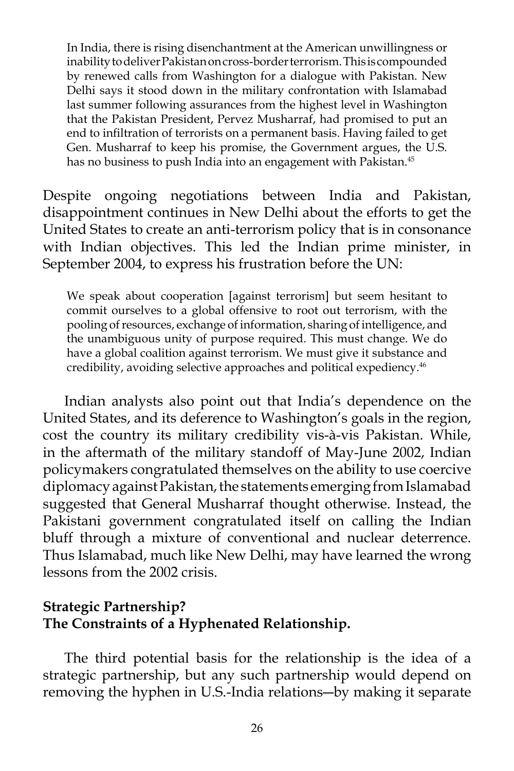In India, there is rising disenchantment at the American unwillingness or inability to deliver Pakistan on cross-border terrorism. This is compounded by renewed calls from Washington for a dialogue with Pakistan. New Delhi says it stood down in the military confrontation with Islamabad last summer following assurances from the highest level in Washington that the Pakistan President, Pervez Musharraf, had promised to put an end to infiltration of terrorists on a permanent basis. Having failed to get Gen. Musharraf to keep his promise, the Government argues, the U.S. has no business to push India into an engagement with Pakistan.<sup>45</sup>

Despite ongoing negotiations between India and Pakistan, disappointment continues in New Delhi about the efforts to get the United States to create an anti-terrorism policy that is in consonance with Indian objectives. This led the Indian prime minister, in September 2004, to express his frustration before the UN:

We speak about cooperation [against terrorism] but seem hesitant to commit ourselves to a global offensive to root out terrorism, with the pooling of resources, exchange of information, sharing of intelligence, and the unambiguous unity of purpose required. This must change. We do have a global coalition against terrorism. We must give it substance and credibility, avoiding selective approaches and political expediency.46

 Indian analysts also point out that India's dependence on the United States, and its deference to Washington's goals in the region, cost the country its military credibility vis-à-vis Pakistan. While, in the aftermath of the military standoff of May-June 2002, Indian policymakers congratulated themselves on the ability to use coercive diplomacy against Pakistan, the statements emerging from Islamabad suggested that General Musharraf thought otherwise. Instead, the Pakistani government congratulated itself on calling the Indian bluff through a mixture of conventional and nuclear deterrence. Thus Islamabad, much like New Delhi, may have learned the wrong lessons from the 2002 crisis.

# **Strategic Partnership? The Constraints of a Hyphenated Relationship.**

 The third potential basis for the relationship is the idea of a strategic partnership, but any such partnership would depend on removing the hyphen in U.S.-India relations―by making it separate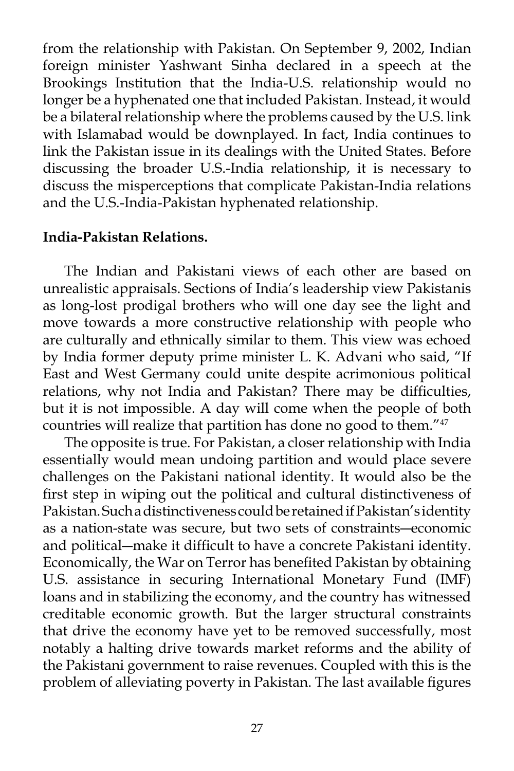from the relationship with Pakistan. On September 9, 2002, Indian foreign minister Yashwant Sinha declared in a speech at the Brookings Institution that the India-U.S. relationship would no longer be a hyphenated one that included Pakistan. Instead, it would be a bilateral relationship where the problems caused by the U.S. link with Islamabad would be downplayed. In fact, India continues to link the Pakistan issue in its dealings with the United States. Before discussing the broader U.S.-India relationship, it is necessary to discuss the misperceptions that complicate Pakistan-India relations and the U.S.-India-Pakistan hyphenated relationship.

### **India-Pakistan Relations.**

 The Indian and Pakistani views of each other are based on unrealistic appraisals. Sections of India's leadership view Pakistanis as long-lost prodigal brothers who will one day see the light and move towards a more constructive relationship with people who are culturally and ethnically similar to them. This view was echoed by India former deputy prime minister L. K. Advani who said, "If East and West Germany could unite despite acrimonious political relations, why not India and Pakistan? There may be difficulties, but it is not impossible. A day will come when the people of both countries will realize that partition has done no good to them."47

 The opposite is true. For Pakistan, a closer relationship with India essentially would mean undoing partition and would place severe challenges on the Pakistani national identity. It would also be the first step in wiping out the political and cultural distinctiveness of Pakistan. Such a distinctiveness could be retained if Pakistan's identity as a nation-state was secure, but two sets of constraints―economic and political―make it difficult to have a concrete Pakistani identity. Economically, the War on Terror has benefited Pakistan by obtaining U.S. assistance in securing International Monetary Fund (IMF) loans and in stabilizing the economy, and the country has witnessed creditable economic growth. But the larger structural constraints that drive the economy have yet to be removed successfully, most notably a halting drive towards market reforms and the ability of the Pakistani government to raise revenues. Coupled with this is the problem of alleviating poverty in Pakistan. The last available figures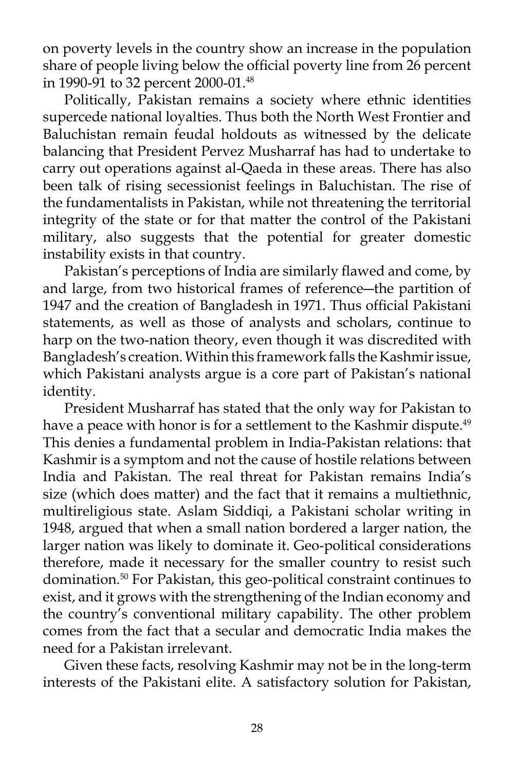on poverty levels in the country show an increase in the population share of people living below the official poverty line from 26 percent in 1990-91 to 32 percent 2000-01.48

 Politically, Pakistan remains a society where ethnic identities supercede national loyalties. Thus both the North West Frontier and Baluchistan remain feudal holdouts as witnessed by the delicate balancing that President Pervez Musharraf has had to undertake to carry out operations against al-Qaeda in these areas. There has also been talk of rising secessionist feelings in Baluchistan. The rise of the fundamentalists in Pakistan, while not threatening the territorial integrity of the state or for that matter the control of the Pakistani military, also suggests that the potential for greater domestic instability exists in that country.

 Pakistan's perceptions of India are similarly flawed and come, by and large, from two historical frames of reference―the partition of 1947 and the creation of Bangladesh in 1971. Thus official Pakistani statements, as well as those of analysts and scholars, continue to harp on the two-nation theory, even though it was discredited with Bangladesh's creation. Within this framework falls the Kashmir issue, which Pakistani analysts argue is a core part of Pakistan's national identity.

 President Musharraf has stated that the only way for Pakistan to have a peace with honor is for a settlement to the Kashmir dispute.<sup>49</sup> This denies a fundamental problem in India-Pakistan relations: that Kashmir is a symptom and not the cause of hostile relations between India and Pakistan. The real threat for Pakistan remains India's size (which does matter) and the fact that it remains a multiethnic, multireligious state. Aslam Siddiqi, a Pakistani scholar writing in 1948, argued that when a small nation bordered a larger nation, the larger nation was likely to dominate it. Geo-political considerations therefore, made it necessary for the smaller country to resist such domination.50 For Pakistan, this geo-political constraint continues to exist, and it grows with the strengthening of the Indian economy and the country's conventional military capability. The other problem comes from the fact that a secular and democratic India makes the need for a Pakistan irrelevant.

 Given these facts, resolving Kashmir may not be in the long-term interests of the Pakistani elite. A satisfactory solution for Pakistan,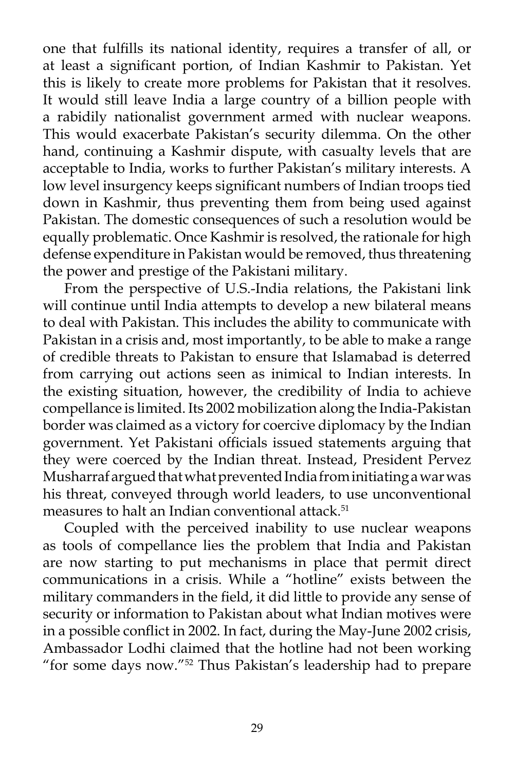one that fulfills its national identity, requires a transfer of all, or at least a significant portion, of Indian Kashmir to Pakistan. Yet this is likely to create more problems for Pakistan that it resolves. It would still leave India a large country of a billion people with a rabidily nationalist government armed with nuclear weapons. This would exacerbate Pakistan's security dilemma. On the other hand, continuing a Kashmir dispute, with casualty levels that are acceptable to India, works to further Pakistan's military interests. A low level insurgency keeps significant numbers of Indian troops tied down in Kashmir, thus preventing them from being used against Pakistan. The domestic consequences of such a resolution would be equally problematic. Once Kashmir is resolved, the rationale for high defense expenditure in Pakistan would be removed, thus threatening the power and prestige of the Pakistani military.

 From the perspective of U.S.-India relations, the Pakistani link will continue until India attempts to develop a new bilateral means to deal with Pakistan. This includes the ability to communicate with Pakistan in a crisis and, most importantly, to be able to make a range of credible threats to Pakistan to ensure that Islamabad is deterred from carrying out actions seen as inimical to Indian interests. In the existing situation, however, the credibility of India to achieve compellance is limited. Its 2002 mobilization along the India-Pakistan border was claimed as a victory for coercive diplomacy by the Indian government. Yet Pakistani officials issued statements arguing that they were coerced by the Indian threat. Instead, President Pervez Musharraf argued that what prevented India from initiating a war was his threat, conveyed through world leaders, to use unconventional measures to halt an Indian conventional attack.<sup>51</sup>

 Coupled with the perceived inability to use nuclear weapons as tools of compellance lies the problem that India and Pakistan are now starting to put mechanisms in place that permit direct communications in a crisis. While a "hotline" exists between the military commanders in the field, it did little to provide any sense of security or information to Pakistan about what Indian motives were in a possible conflict in 2002. In fact, during the May-June 2002 crisis, Ambassador Lodhi claimed that the hotline had not been working "for some days now."52 Thus Pakistan's leadership had to prepare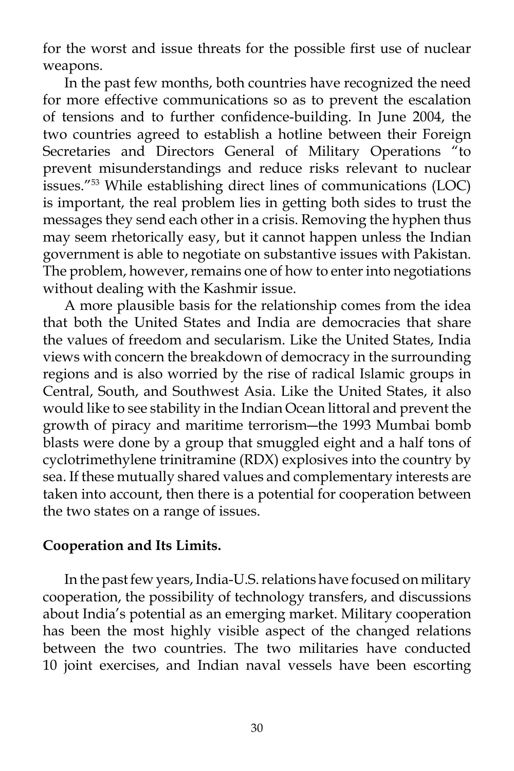for the worst and issue threats for the possible first use of nuclear weapons.

 In the past few months, both countries have recognized the need for more effective communications so as to prevent the escalation of tensions and to further confidence-building. In June 2004, the two countries agreed to establish a hotline between their Foreign Secretaries and Directors General of Military Operations "to prevent misunderstandings and reduce risks relevant to nuclear issues."53 While establishing direct lines of communications (LOC) is important, the real problem lies in getting both sides to trust the messages they send each other in a crisis. Removing the hyphen thus may seem rhetorically easy, but it cannot happen unless the Indian government is able to negotiate on substantive issues with Pakistan. The problem, however, remains one of how to enter into negotiations without dealing with the Kashmir issue.

 A more plausible basis for the relationship comes from the idea that both the United States and India are democracies that share the values of freedom and secularism. Like the United States, India views with concern the breakdown of democracy in the surrounding regions and is also worried by the rise of radical Islamic groups in Central, South, and Southwest Asia. Like the United States, it also would like to see stability in the Indian Ocean littoral and prevent the growth of piracy and maritime terrorism―the 1993 Mumbai bomb blasts were done by a group that smuggled eight and a half tons of cyclotrimethylene trinitramine (RDX) explosives into the country by sea. If these mutually shared values and complementary interests are taken into account, then there is a potential for cooperation between the two states on a range of issues.

# **Cooperation and Its Limits.**

 In the past few years, India-U.S. relations have focused on military cooperation, the possibility of technology transfers, and discussions about India's potential as an emerging market. Military cooperation has been the most highly visible aspect of the changed relations between the two countries. The two militaries have conducted 10 joint exercises, and Indian naval vessels have been escorting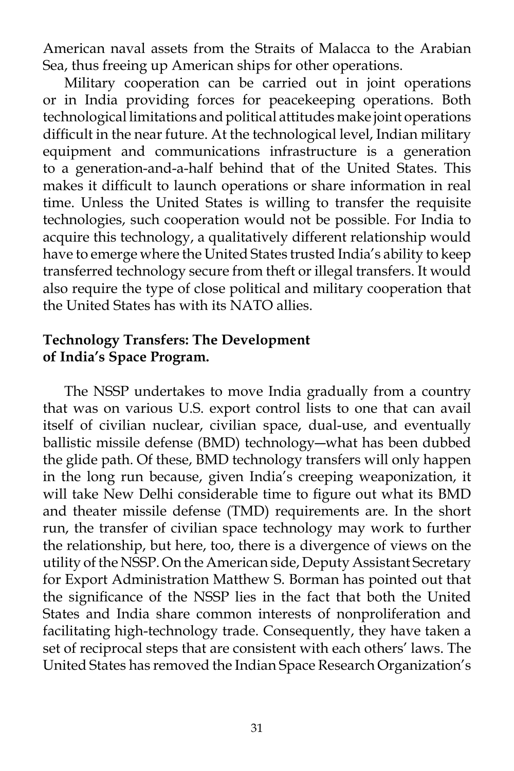American naval assets from the Straits of Malacca to the Arabian Sea, thus freeing up American ships for other operations.

 Military cooperation can be carried out in joint operations or in India providing forces for peacekeeping operations. Both technological limitations and political attitudes make joint operations difficult in the near future. At the technological level, Indian military equipment and communications infrastructure is a generation to a generation-and-a-half behind that of the United States. This makes it difficult to launch operations or share information in real time. Unless the United States is willing to transfer the requisite technologies, such cooperation would not be possible. For India to acquire this technology, a qualitatively different relationship would have to emerge where the United States trusted India's ability to keep transferred technology secure from theft or illegal transfers. It would also require the type of close political and military cooperation that the United States has with its NATO allies.

## **Technology Transfers: The Development of India's Space Program.**

 The NSSP undertakes to move India gradually from a country that was on various U.S. export control lists to one that can avail itself of civilian nuclear, civilian space, dual-use, and eventually ballistic missile defense (BMD) technology―what has been dubbed the glide path. Of these, BMD technology transfers will only happen in the long run because, given India's creeping weaponization, it will take New Delhi considerable time to figure out what its BMD and theater missile defense (TMD) requirements are. In the short run, the transfer of civilian space technology may work to further the relationship, but here, too, there is a divergence of views on the utility of the NSSP. On the American side, Deputy Assistant Secretary for Export Administration Matthew S. Borman has pointed out that the significance of the NSSP lies in the fact that both the United States and India share common interests of nonproliferation and facilitating high-technology trade. Consequently, they have taken a set of reciprocal steps that are consistent with each others' laws. The United States has removed the Indian Space Research Organization's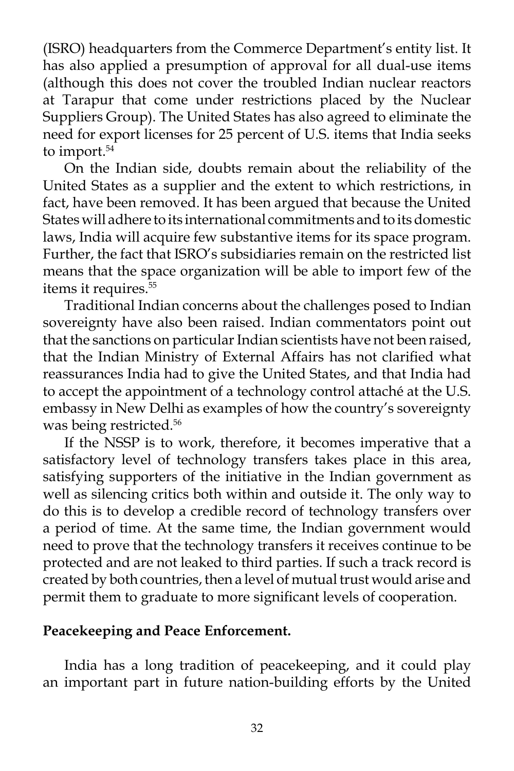(ISRO) headquarters from the Commerce Department's entity list. It has also applied a presumption of approval for all dual-use items (although this does not cover the troubled Indian nuclear reactors at Tarapur that come under restrictions placed by the Nuclear Suppliers Group). The United States has also agreed to eliminate the need for export licenses for 25 percent of U.S. items that India seeks to import.<sup>54</sup>

 On the Indian side, doubts remain about the reliability of the United States as a supplier and the extent to which restrictions, in fact, have been removed. It has been argued that because the United States will adhere to its international commitments and to its domestic laws, India will acquire few substantive items for its space program. Further, the fact that ISRO's subsidiaries remain on the restricted list means that the space organization will be able to import few of the items it requires.<sup>55</sup>

 Traditional Indian concerns about the challenges posed to Indian sovereignty have also been raised. Indian commentators point out that the sanctions on particular Indian scientists have not been raised, that the Indian Ministry of External Affairs has not clarified what reassurances India had to give the United States, and that India had to accept the appointment of a technology control attaché at the U.S. embassy in New Delhi as examples of how the country's sovereignty was being restricted.<sup>56</sup>

 If the NSSP is to work, therefore, it becomes imperative that a satisfactory level of technology transfers takes place in this area, satisfying supporters of the initiative in the Indian government as well as silencing critics both within and outside it. The only way to do this is to develop a credible record of technology transfers over a period of time. At the same time, the Indian government would need to prove that the technology transfers it receives continue to be protected and are not leaked to third parties. If such a track record is created by both countries, then a level of mutual trust would arise and permit them to graduate to more significant levels of cooperation.

### **Peacekeeping and Peace Enforcement.**

 India has a long tradition of peacekeeping, and it could play an important part in future nation-building efforts by the United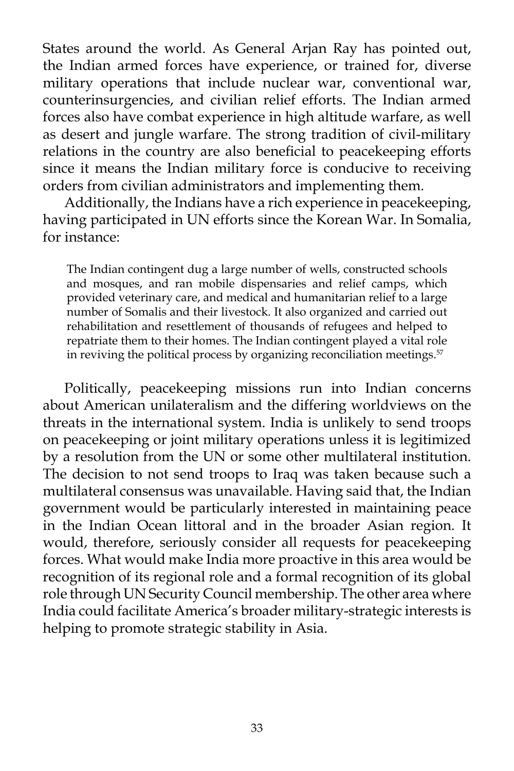States around the world. As General Arjan Ray has pointed out, the Indian armed forces have experience, or trained for, diverse military operations that include nuclear war, conventional war, counterinsurgencies, and civilian relief efforts. The Indian armed forces also have combat experience in high altitude warfare, as well as desert and jungle warfare. The strong tradition of civil-military relations in the country are also beneficial to peacekeeping efforts since it means the Indian military force is conducive to receiving orders from civilian administrators and implementing them.

 Additionally, the Indians have a rich experience in peacekeeping, having participated in UN efforts since the Korean War. In Somalia, for instance:

The Indian contingent dug a large number of wells, constructed schools and mosques, and ran mobile dispensaries and relief camps, which provided veterinary care, and medical and humanitarian relief to a large number of Somalis and their livestock. It also organized and carried out rehabilitation and resettlement of thousands of refugees and helped to repatriate them to their homes. The Indian contingent played a vital role in reviving the political process by organizing reconciliation meetings.<sup>57</sup>

 Politically, peacekeeping missions run into Indian concerns about American unilateralism and the differing worldviews on the threats in the international system. India is unlikely to send troops on peacekeeping or joint military operations unless it is legitimized by a resolution from the UN or some other multilateral institution. The decision to not send troops to Iraq was taken because such a multilateral consensus was unavailable. Having said that, the Indian government would be particularly interested in maintaining peace in the Indian Ocean littoral and in the broader Asian region. It would, therefore, seriously consider all requests for peacekeeping forces. What would make India more proactive in this area would be recognition of its regional role and a formal recognition of its global role through UN Security Council membership. The other area where India could facilitate America's broader military-strategic interests is helping to promote strategic stability in Asia.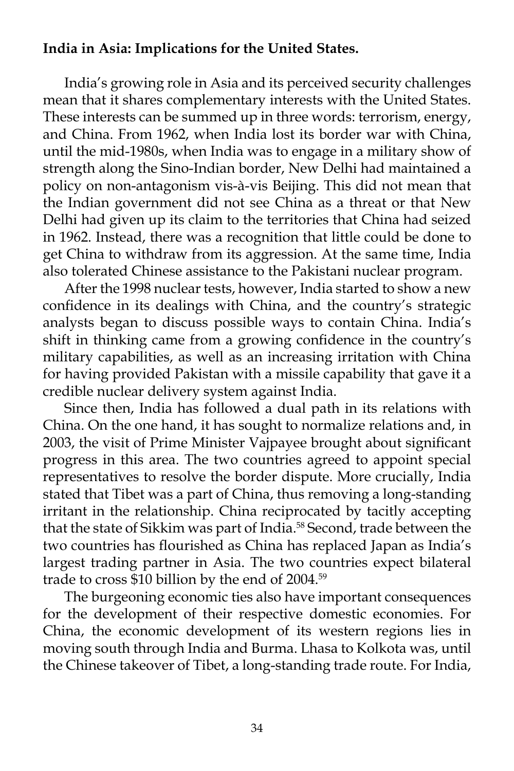# **India in Asia: Implications for the United States.**

 India's growing role in Asia and its perceived security challenges mean that it shares complementary interests with the United States. These interests can be summed up in three words: terrorism, energy, and China. From 1962, when India lost its border war with China, until the mid-1980s, when India was to engage in a military show of strength along the Sino-Indian border, New Delhi had maintained a policy on non-antagonism vis-à-vis Beijing. This did not mean that the Indian government did not see China as a threat or that New Delhi had given up its claim to the territories that China had seized in 1962. Instead, there was a recognition that little could be done to get China to withdraw from its aggression. At the same time, India also tolerated Chinese assistance to the Pakistani nuclear program.

 After the 1998 nuclear tests, however, India started to show a new confidence in its dealings with China, and the country's strategic analysts began to discuss possible ways to contain China. India's shift in thinking came from a growing confidence in the country's military capabilities, as well as an increasing irritation with China for having provided Pakistan with a missile capability that gave it a credible nuclear delivery system against India.

 Since then, India has followed a dual path in its relations with China. On the one hand, it has sought to normalize relations and, in 2003, the visit of Prime Minister Vajpayee brought about significant progress in this area. The two countries agreed to appoint special representatives to resolve the border dispute. More crucially, India stated that Tibet was a part of China, thus removing a long-standing irritant in the relationship. China reciprocated by tacitly accepting that the state of Sikkim was part of India.<sup>58</sup> Second, trade between the two countries has flourished as China has replaced Japan as India's largest trading partner in Asia. The two countries expect bilateral trade to cross \$10 billion by the end of 2004.<sup>59</sup>

 The burgeoning economic ties also have important consequences for the development of their respective domestic economies. For China, the economic development of its western regions lies in moving south through India and Burma. Lhasa to Kolkota was, until the Chinese takeover of Tibet, a long-standing trade route. For India,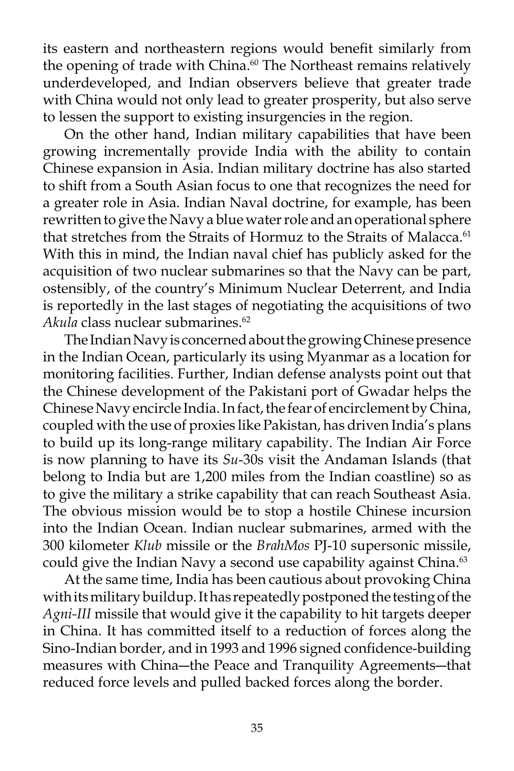its eastern and northeastern regions would benefit similarly from the opening of trade with China.<sup>60</sup> The Northeast remains relatively underdeveloped, and Indian observers believe that greater trade with China would not only lead to greater prosperity, but also serve to lessen the support to existing insurgencies in the region.

 On the other hand, Indian military capabilities that have been growing incrementally provide India with the ability to contain Chinese expansion in Asia. Indian military doctrine has also started to shift from a South Asian focus to one that recognizes the need for a greater role in Asia. Indian Naval doctrine, for example, has been rewritten to give the Navy a blue water role and an operational sphere that stretches from the Straits of Hormuz to the Straits of Malacca.<sup>61</sup> With this in mind, the Indian naval chief has publicly asked for the acquisition of two nuclear submarines so that the Navy can be part, ostensibly, of the country's Minimum Nuclear Deterrent, and India is reportedly in the last stages of negotiating the acquisitions of two *Akula* class nuclear submarines.<sup>62</sup>

 The Indian Navy is concerned about the growing Chinese presence in the Indian Ocean, particularly its using Myanmar as a location for monitoring facilities. Further, Indian defense analysts point out that the Chinese development of the Pakistani port of Gwadar helps the Chinese Navy encircle India. In fact, the fear of encirclement by China, coupled with the use of proxies like Pakistan, has driven India's plans to build up its long-range military capability. The Indian Air Force is now planning to have its *Su*-30s visit the Andaman Islands (that belong to India but are 1,200 miles from the Indian coastline) so as to give the military a strike capability that can reach Southeast Asia. The obvious mission would be to stop a hostile Chinese incursion into the Indian Ocean. Indian nuclear submarines, armed with the 300 kilometer *Klub* missile or the *BrahMos* PJ-10 supersonic missile, could give the Indian Navy a second use capability against China.<sup>63</sup>

 At the same time, India has been cautious about provoking China with its military buildup. It has repeatedly postponed the testing of the *Agni-III* missile that would give it the capability to hit targets deeper in China. It has committed itself to a reduction of forces along the Sino-Indian border, and in 1993 and 1996 signed confidence-building measures with China―the Peace and Tranquility Agreements―that reduced force levels and pulled backed forces along the border.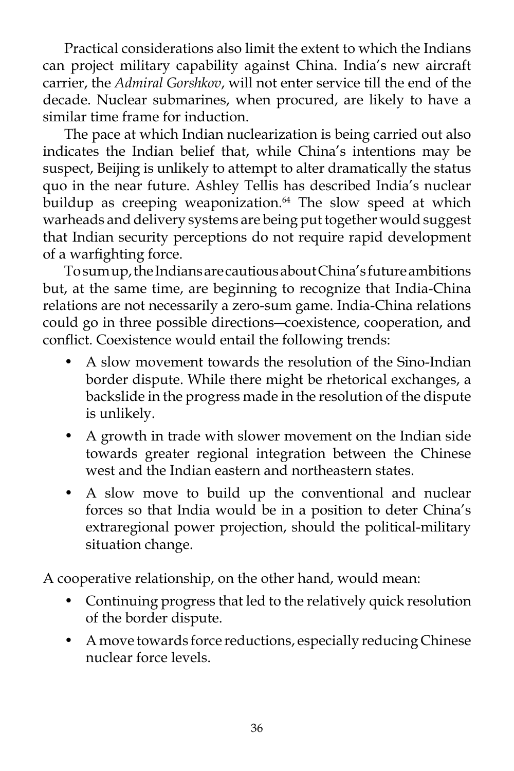Practical considerations also limit the extent to which the Indians can project military capability against China. India's new aircraft carrier, the *Admiral Gorshkov*, will not enter service till the end of the decade. Nuclear submarines, when procured, are likely to have a similar time frame for induction.

 The pace at which Indian nuclearization is being carried out also indicates the Indian belief that, while China's intentions may be suspect, Beijing is unlikely to attempt to alter dramatically the status quo in the near future. Ashley Tellis has described India's nuclear buildup as creeping weaponization.<sup>64</sup> The slow speed at which warheads and delivery systems are being put together would suggest that Indian security perceptions do not require rapid development of a warfighting force.

 To sum up, the Indians are cautious about China's future ambitions but, at the same time, are beginning to recognize that India-China relations are not necessarily a zero-sum game. India-China relations could go in three possible directions―coexistence, cooperation, and conflict. Coexistence would entail the following trends:

- A slow movement towards the resolution of the Sino-Indian border dispute. While there might be rhetorical exchanges, a backslide in the progress made in the resolution of the dispute is unlikely.
- A growth in trade with slower movement on the Indian side towards greater regional integration between the Chinese west and the Indian eastern and northeastern states.
- A slow move to build up the conventional and nuclear forces so that India would be in a position to deter China's extraregional power projection, should the political-military situation change.

A cooperative relationship, on the other hand, would mean:

- Continuing progress that led to the relatively quick resolution of the border dispute.
- A move towards force reductions, especially reducing Chinese nuclear force levels.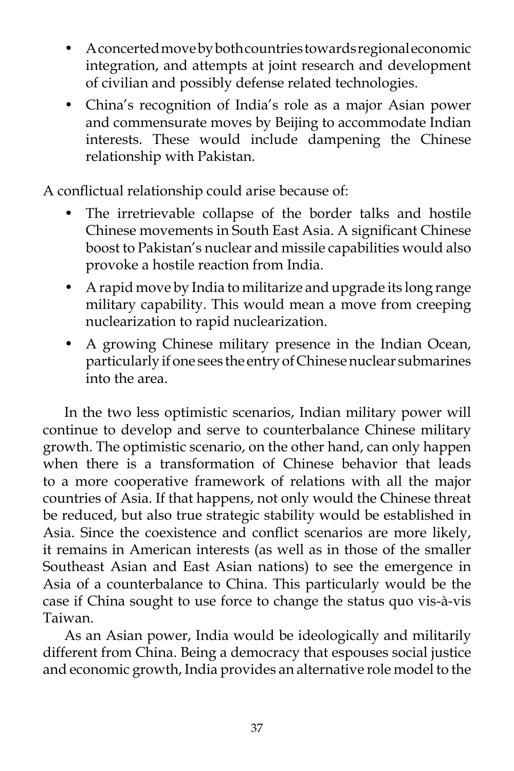- A concerted move by both countries towards regional economic integration, and attempts at joint research and development of civilian and possibly defense related technologies.
- China's recognition of India's role as a major Asian power and commensurate moves by Beijing to accommodate Indian interests. These would include dampening the Chinese relationship with Pakistan.

A conflictual relationship could arise because of:

- The irretrievable collapse of the border talks and hostile Chinese movements in South East Asia. A significant Chinese boost to Pakistan's nuclear and missile capabilities would also provoke a hostile reaction from India.
- A rapid move by India to militarize and upgrade its long range military capability. This would mean a move from creeping nuclearization to rapid nuclearization.
- A growing Chinese military presence in the Indian Ocean, particularly if one sees the entry of Chinese nuclear submarines into the area.

 In the two less optimistic scenarios, Indian military power will continue to develop and serve to counterbalance Chinese military growth. The optimistic scenario, on the other hand, can only happen when there is a transformation of Chinese behavior that leads to a more cooperative framework of relations with all the major countries of Asia. If that happens, not only would the Chinese threat be reduced, but also true strategic stability would be established in Asia. Since the coexistence and conflict scenarios are more likely, it remains in American interests (as well as in those of the smaller Southeast Asian and East Asian nations) to see the emergence in Asia of a counterbalance to China. This particularly would be the case if China sought to use force to change the status quo vis-à-vis Taiwan.

 As an Asian power, India would be ideologically and militarily different from China. Being a democracy that espouses social justice and economic growth, India provides an alternative role model to the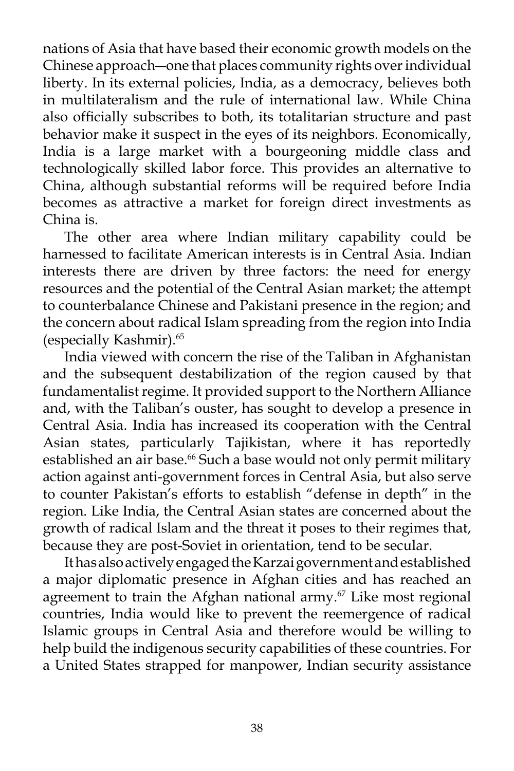nations of Asia that have based their economic growth models on the Chinese approach―one that places community rights over individual liberty. In its external policies, India, as a democracy, believes both in multilateralism and the rule of international law. While China also officially subscribes to both, its totalitarian structure and past behavior make it suspect in the eyes of its neighbors. Economically, India is a large market with a bourgeoning middle class and technologically skilled labor force. This provides an alternative to China, although substantial reforms will be required before India becomes as attractive a market for foreign direct investments as China is.

 The other area where Indian military capability could be harnessed to facilitate American interests is in Central Asia. Indian interests there are driven by three factors: the need for energy resources and the potential of the Central Asian market; the attempt to counterbalance Chinese and Pakistani presence in the region; and the concern about radical Islam spreading from the region into India (especially Kashmir).65

 India viewed with concern the rise of the Taliban in Afghanistan and the subsequent destabilization of the region caused by that fundamentalist regime. It provided support to the Northern Alliance and, with the Taliban's ouster, has sought to develop a presence in Central Asia. India has increased its cooperation with the Central Asian states, particularly Tajikistan, where it has reportedly established an air base.<sup>66</sup> Such a base would not only permit military action against anti-government forces in Central Asia, but also serve to counter Pakistan's efforts to establish "defense in depth" in the region. Like India, the Central Asian states are concerned about the growth of radical Islam and the threat it poses to their regimes that, because they are post-Soviet in orientation, tend to be secular.

 It has also actively engaged the Karzai government and established a major diplomatic presence in Afghan cities and has reached an agreement to train the Afghan national army.<sup>67</sup> Like most regional countries, India would like to prevent the reemergence of radical Islamic groups in Central Asia and therefore would be willing to help build the indigenous security capabilities of these countries. For a United States strapped for manpower, Indian security assistance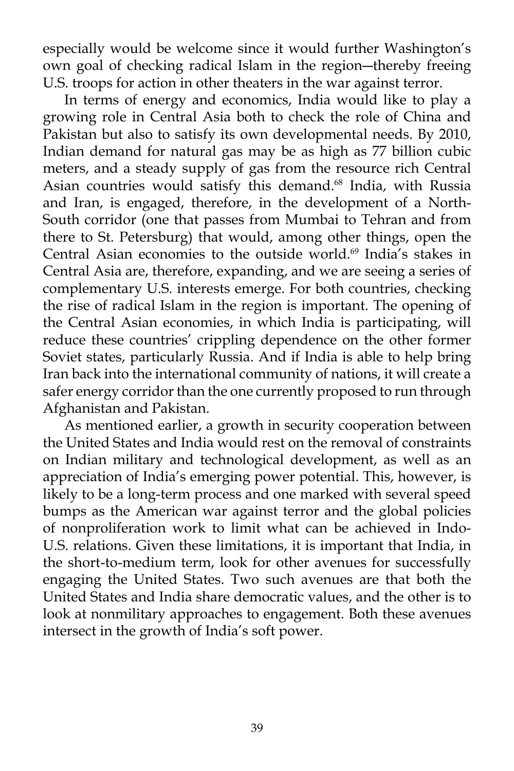especially would be welcome since it would further Washington's own goal of checking radical Islam in the region―thereby freeing U.S. troops for action in other theaters in the war against terror.

 In terms of energy and economics, India would like to play a growing role in Central Asia both to check the role of China and Pakistan but also to satisfy its own developmental needs. By 2010, Indian demand for natural gas may be as high as 77 billion cubic meters, and a steady supply of gas from the resource rich Central Asian countries would satisfy this demand.<sup>68</sup> India, with Russia and Iran, is engaged, therefore, in the development of a North-South corridor (one that passes from Mumbai to Tehran and from there to St. Petersburg) that would, among other things, open the Central Asian economies to the outside world.<sup>69</sup> India's stakes in Central Asia are, therefore, expanding, and we are seeing a series of complementary U.S. interests emerge. For both countries, checking the rise of radical Islam in the region is important. The opening of the Central Asian economies, in which India is participating, will reduce these countries' crippling dependence on the other former Soviet states, particularly Russia. And if India is able to help bring Iran back into the international community of nations, it will create a safer energy corridor than the one currently proposed to run through Afghanistan and Pakistan.

 As mentioned earlier, a growth in security cooperation between the United States and India would rest on the removal of constraints on Indian military and technological development, as well as an appreciation of India's emerging power potential. This, however, is likely to be a long-term process and one marked with several speed bumps as the American war against terror and the global policies of nonproliferation work to limit what can be achieved in Indo-U.S. relations. Given these limitations, it is important that India, in the short-to-medium term, look for other avenues for successfully engaging the United States. Two such avenues are that both the United States and India share democratic values, and the other is to look at nonmilitary approaches to engagement. Both these avenues intersect in the growth of India's soft power.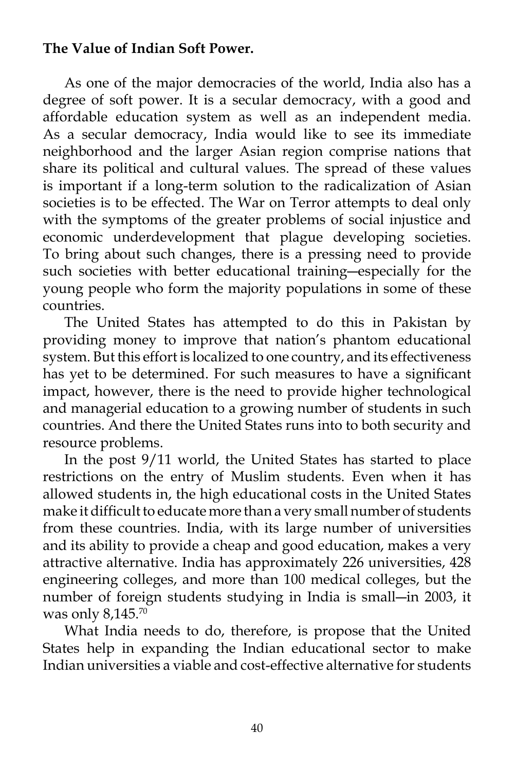# **The Value of Indian Soft Power.**

 As one of the major democracies of the world, India also has a degree of soft power. It is a secular democracy, with a good and affordable education system as well as an independent media. As a secular democracy, India would like to see its immediate neighborhood and the larger Asian region comprise nations that share its political and cultural values. The spread of these values is important if a long-term solution to the radicalization of Asian societies is to be effected. The War on Terror attempts to deal only with the symptoms of the greater problems of social injustice and economic underdevelopment that plague developing societies. To bring about such changes, there is a pressing need to provide such societies with better educational training―especially for the young people who form the majority populations in some of these countries.

 The United States has attempted to do this in Pakistan by providing money to improve that nation's phantom educational system. But this effort is localized to one country, and its effectiveness has yet to be determined. For such measures to have a significant impact, however, there is the need to provide higher technological and managerial education to a growing number of students in such countries. And there the United States runs into to both security and resource problems.

 In the post 9/11 world, the United States has started to place restrictions on the entry of Muslim students. Even when it has allowed students in, the high educational costs in the United States make it difficult to educate more than a very small number of students from these countries. India, with its large number of universities and its ability to provide a cheap and good education, makes a very attractive alternative. India has approximately 226 universities, 428 engineering colleges, and more than 100 medical colleges, but the number of foreign students studying in India is small―in 2003, it was only 8,145.70

 What India needs to do, therefore, is propose that the United States help in expanding the Indian educational sector to make Indian universities a viable and cost-effective alternative for students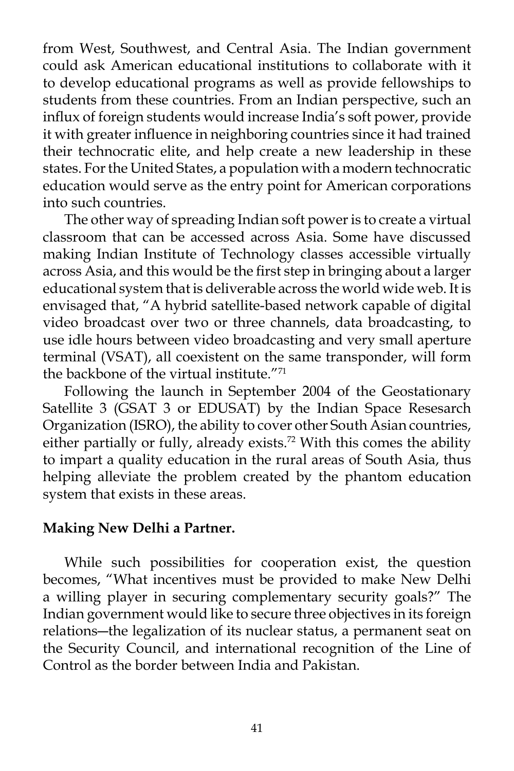from West, Southwest, and Central Asia. The Indian government could ask American educational institutions to collaborate with it to develop educational programs as well as provide fellowships to students from these countries. From an Indian perspective, such an influx of foreign students would increase India's soft power, provide it with greater influence in neighboring countries since it had trained their technocratic elite, and help create a new leadership in these states. For the United States, a population with a modern technocratic education would serve as the entry point for American corporations into such countries.

 The other way of spreading Indian soft power is to create a virtual classroom that can be accessed across Asia. Some have discussed making Indian Institute of Technology classes accessible virtually across Asia, and this would be the first step in bringing about a larger educational system that is deliverable across the world wide web. It is envisaged that, "A hybrid satellite-based network capable of digital video broadcast over two or three channels, data broadcasting, to use idle hours between video broadcasting and very small aperture terminal (VSAT), all coexistent on the same transponder, will form the backbone of the virtual institute."<sup>71</sup>

 Following the launch in September 2004 of the Geostationary Satellite 3 (GSAT 3 or EDUSAT) by the Indian Space Resesarch Organization (ISRO), the ability to cover other South Asian countries, either partially or fully, already exists.<sup>72</sup> With this comes the ability to impart a quality education in the rural areas of South Asia, thus helping alleviate the problem created by the phantom education system that exists in these areas.

### **Making New Delhi a Partner.**

 While such possibilities for cooperation exist, the question becomes, "What incentives must be provided to make New Delhi a willing player in securing complementary security goals?" The Indian government would like to secure three objectives in its foreign relations―the legalization of its nuclear status, a permanent seat on the Security Council, and international recognition of the Line of Control as the border between India and Pakistan.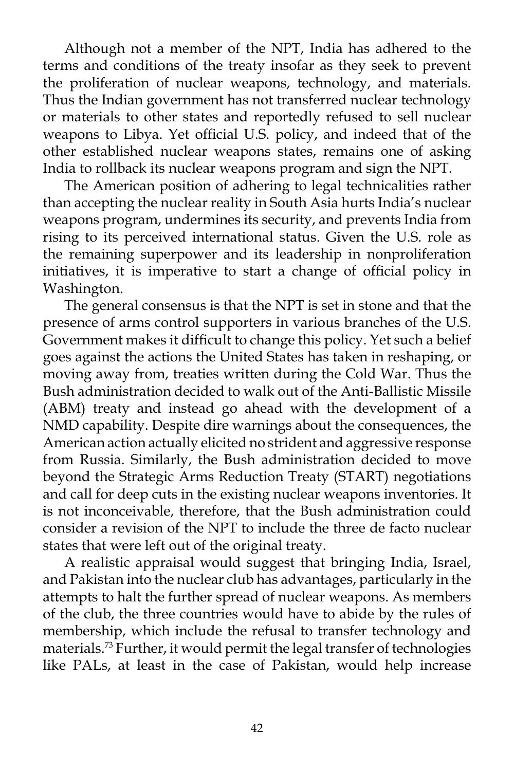Although not a member of the NPT, India has adhered to the terms and conditions of the treaty insofar as they seek to prevent the proliferation of nuclear weapons, technology, and materials. Thus the Indian government has not transferred nuclear technology or materials to other states and reportedly refused to sell nuclear weapons to Libya. Yet official U.S. policy, and indeed that of the other established nuclear weapons states, remains one of asking India to rollback its nuclear weapons program and sign the NPT.

 The American position of adhering to legal technicalities rather than accepting the nuclear reality in South Asia hurts India's nuclear weapons program, undermines its security, and prevents India from rising to its perceived international status. Given the U.S. role as the remaining superpower and its leadership in nonproliferation initiatives, it is imperative to start a change of official policy in Washington.

 The general consensus is that the NPT is set in stone and that the presence of arms control supporters in various branches of the U.S. Government makes it difficult to change this policy. Yet such a belief goes against the actions the United States has taken in reshaping, or moving away from, treaties written during the Cold War. Thus the Bush administration decided to walk out of the Anti-Ballistic Missile (ABM) treaty and instead go ahead with the development of a NMD capability. Despite dire warnings about the consequences, the American action actually elicited no strident and aggressive response from Russia. Similarly, the Bush administration decided to move beyond the Strategic Arms Reduction Treaty (START) negotiations and call for deep cuts in the existing nuclear weapons inventories. It is not inconceivable, therefore, that the Bush administration could consider a revision of the NPT to include the three de facto nuclear states that were left out of the original treaty.

 A realistic appraisal would suggest that bringing India, Israel, and Pakistan into the nuclear club has advantages, particularly in the attempts to halt the further spread of nuclear weapons. As members of the club, the three countries would have to abide by the rules of membership, which include the refusal to transfer technology and materials.73 Further, it would permit the legal transfer of technologies like PALs, at least in the case of Pakistan, would help increase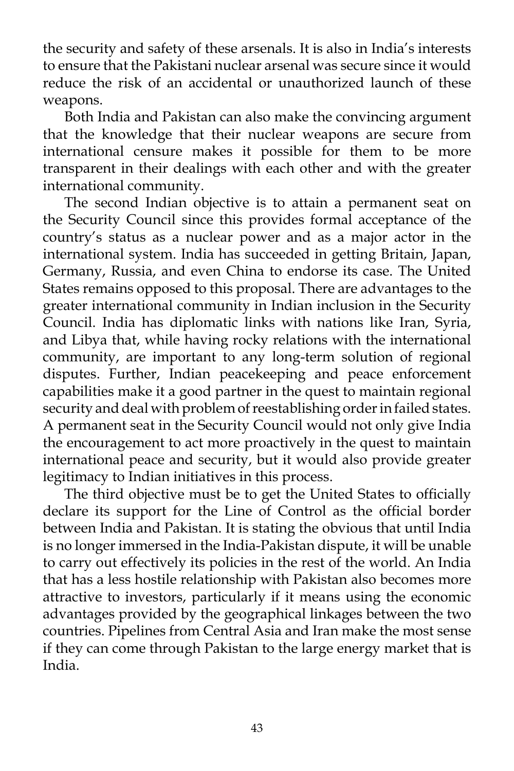the security and safety of these arsenals. It is also in India's interests to ensure that the Pakistani nuclear arsenal was secure since it would reduce the risk of an accidental or unauthorized launch of these weapons.

 Both India and Pakistan can also make the convincing argument that the knowledge that their nuclear weapons are secure from international censure makes it possible for them to be more transparent in their dealings with each other and with the greater international community.

 The second Indian objective is to attain a permanent seat on the Security Council since this provides formal acceptance of the country's status as a nuclear power and as a major actor in the international system. India has succeeded in getting Britain, Japan, Germany, Russia, and even China to endorse its case. The United States remains opposed to this proposal. There are advantages to the greater international community in Indian inclusion in the Security Council. India has diplomatic links with nations like Iran, Syria, and Libya that, while having rocky relations with the international community, are important to any long-term solution of regional disputes. Further, Indian peacekeeping and peace enforcement capabilities make it a good partner in the quest to maintain regional security and deal with problem of reestablishing order in failed states. A permanent seat in the Security Council would not only give India the encouragement to act more proactively in the quest to maintain international peace and security, but it would also provide greater legitimacy to Indian initiatives in this process.

 The third objective must be to get the United States to officially declare its support for the Line of Control as the official border between India and Pakistan. It is stating the obvious that until India is no longer immersed in the India-Pakistan dispute, it will be unable to carry out effectively its policies in the rest of the world. An India that has a less hostile relationship with Pakistan also becomes more attractive to investors, particularly if it means using the economic advantages provided by the geographical linkages between the two countries. Pipelines from Central Asia and Iran make the most sense if they can come through Pakistan to the large energy market that is India.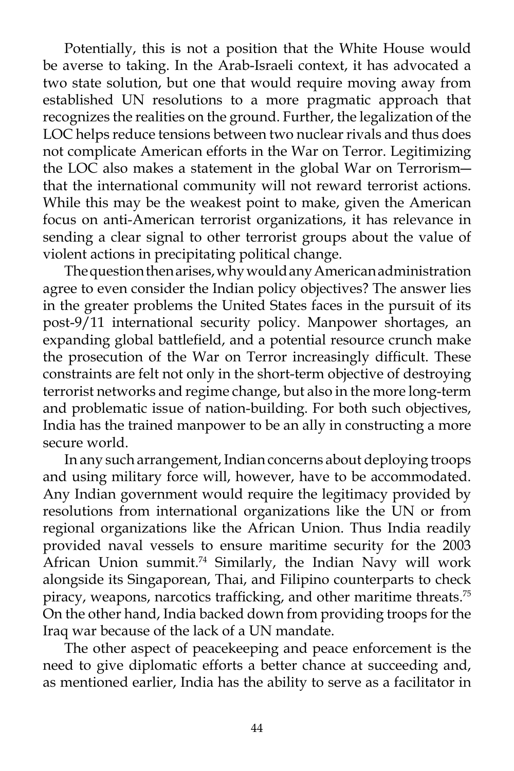Potentially, this is not a position that the White House would be averse to taking. In the Arab-Israeli context, it has advocated a two state solution, but one that would require moving away from established UN resolutions to a more pragmatic approach that recognizes the realities on the ground. Further, the legalization of the LOC helps reduce tensions between two nuclear rivals and thus does not complicate American efforts in the War on Terror. Legitimizing the LOC also makes a statement in the global War on Terrorism― that the international community will not reward terrorist actions. While this may be the weakest point to make, given the American focus on anti-American terrorist organizations, it has relevance in sending a clear signal to other terrorist groups about the value of violent actions in precipitating political change.

 The question then arises, why would any American administration agree to even consider the Indian policy objectives? The answer lies in the greater problems the United States faces in the pursuit of its post-9/11 international security policy. Manpower shortages, an expanding global battlefield, and a potential resource crunch make the prosecution of the War on Terror increasingly difficult. These constraints are felt not only in the short-term objective of destroying terrorist networks and regime change, but also in the more long-term and problematic issue of nation-building. For both such objectives, India has the trained manpower to be an ally in constructing a more secure world.

 In any such arrangement, Indian concerns about deploying troops and using military force will, however, have to be accommodated. Any Indian government would require the legitimacy provided by resolutions from international organizations like the UN or from regional organizations like the African Union. Thus India readily provided naval vessels to ensure maritime security for the 2003 African Union summit.<sup>74</sup> Similarly, the Indian Navy will work alongside its Singaporean, Thai, and Filipino counterparts to check piracy, weapons, narcotics trafficking, and other maritime threats.<sup>75</sup> On the other hand, India backed down from providing troops for the Iraq war because of the lack of a UN mandate.

 The other aspect of peacekeeping and peace enforcement is the need to give diplomatic efforts a better chance at succeeding and, as mentioned earlier, India has the ability to serve as a facilitator in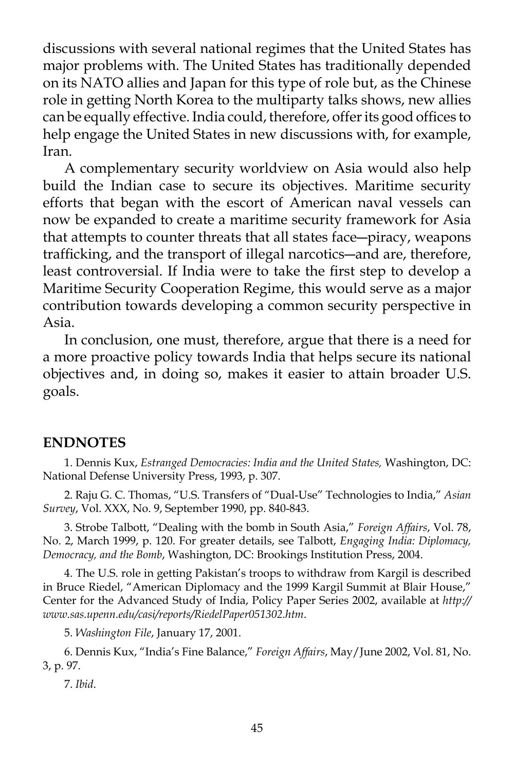discussions with several national regimes that the United States has major problems with. The United States has traditionally depended on its NATO allies and Japan for this type of role but, as the Chinese role in getting North Korea to the multiparty talks shows, new allies can be equally effective. India could, therefore, offer its good offices to help engage the United States in new discussions with, for example, Iran.

 A complementary security worldview on Asia would also help build the Indian case to secure its objectives. Maritime security efforts that began with the escort of American naval vessels can now be expanded to create a maritime security framework for Asia that attempts to counter threats that all states face―piracy, weapons trafficking, and the transport of illegal narcotics―and are, therefore, least controversial. If India were to take the first step to develop a Maritime Security Cooperation Regime, this would serve as a major contribution towards developing a common security perspective in Asia.

 In conclusion, one must, therefore, argue that there is a need for a more proactive policy towards India that helps secure its national objectives and, in doing so, makes it easier to attain broader U.S. goals.

### **ENDNOTES**

 1. Dennis Kux, *Estranged Democracies: India and the United States,* Washington, DC: National Defense University Press, 1993, p. 307.

 2. Raju G. C. Thomas, "U.S. Transfers of "Dual-Use" Technologies to India," *Asian Survey*, Vol. XXX, No. 9, September 1990, pp. 840-843.

 3. Strobe Talbott, "Dealing with the bomb in South Asia," *Foreign Affairs*, Vol. 78, No. 2, March 1999, p. 120. For greater details, see Talbott, *Engaging India: Diplomacy, Democracy, and the Bomb*, Washington, DC: Brookings Institution Press, 2004.

 4. The U.S. role in getting Pakistan's troops to withdraw from Kargil is described in Bruce Riedel, "American Diplomacy and the 1999 Kargil Summit at Blair House," Center for the Advanced Study of India, Policy Paper Series 2002, available at *http:// www.sas.upenn.edu/casi/reports/RiedelPaper051302.htm*.

5. *Washington File*, January 17, 2001.

 6. Dennis Kux, "India's Fine Balance," *Foreign Affairs*, May/June 2002, Vol. 81, No. 3, p. 97.

7. *Ibid*.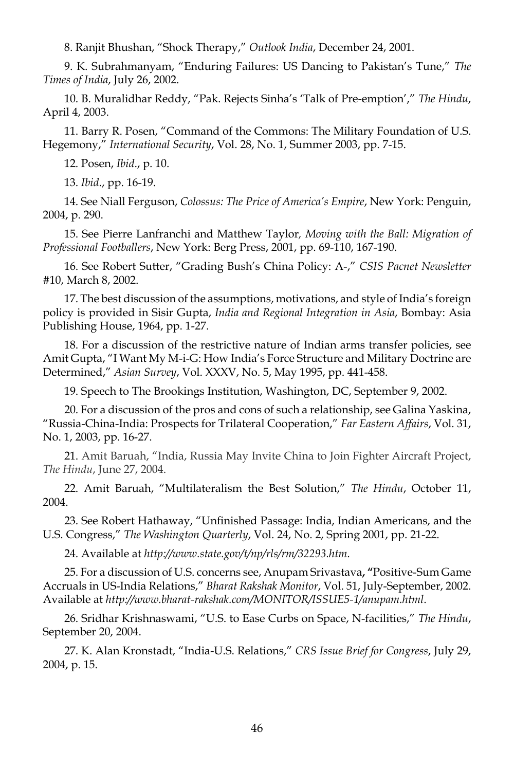8. Ranjit Bhushan, "Shock Therapy," *Outlook India*, December 24, 2001.

 9. K. Subrahmanyam, "Enduring Failures: US Dancing to Pakistan's Tune," *The Times of India*, July 26, 2002.

 10. B. Muralidhar Reddy, "Pak. Rejects Sinha's 'Talk of Pre-emption'," *The Hindu*, April 4, 2003.

 11. Barry R. Posen, "Command of the Commons: The Military Foundation of U.S. Hegemony," *International Security*, Vol. 28, No. 1, Summer 2003, pp. 7-15.

12. Posen, *Ibid*., p. 10.

13. *Ibid*., pp. 16-19.

 14. See Niall Ferguson, *Colossus: The Price of America's Empire*, New York: Penguin, 2004, p. 290.

 15. See Pierre Lanfranchi and Matthew Taylor*, Moving with the Ball: Migration of Professional Footballers*, New York: Berg Press, 2001, pp. 69-110, 167-190.

 16. See Robert Sutter, "Grading Bush's China Policy: A-," *CSIS Pacnet Newsletter* #10, March 8, 2002.

 17. The best discussion of the assumptions, motivations, and style of India's foreign policy is provided in Sisir Gupta, *India and Regional Integration in Asia*, Bombay: Asia Publishing House, 1964, pp. 1-27.

 18. For a discussion of the restrictive nature of Indian arms transfer policies, see Amit Gupta, "I Want My M-i-G: How India's Force Structure and Military Doctrine are Determined," *Asian Survey*, Vol. XXXV, No. 5, May 1995, pp. 441-458.

19. Speech to The Brookings Institution, Washington, DC, September 9, 2002.

 20. For a discussion of the pros and cons of such a relationship, see Galina Yaskina, "Russia-China-India: Prospects for Trilateral Cooperation," *Far Eastern Affairs*, Vol. 31, No. 1, 2003, pp. 16-27.

 21. Amit Baruah, "India, Russia May Invite China to Join Fighter Aircraft Project, *The Hindu*, June 27, 2004.

 22. Amit Baruah, "Multilateralism the Best Solution," *The Hindu*, October 11, 2004.

 23. See Robert Hathaway, "Unfinished Passage: India, Indian Americans, and the U.S. Congress," *The Washington Quarterly*, Vol. 24, No. 2, Spring 2001, pp. 21-22.

24. Available at *http://www.state.gov/t/np/rls/rm/32293.htm*.

 25. For a discussion of U.S. concerns see, Anupam Srivastava**, "**Positive-Sum Game Accruals in US-India Relations," *Bharat Rakshak Monitor*, Vol. 51, July-September, 2002. Available at *http://www.bharat-rakshak.com/MONITOR/ISSUE5-1/anupam.html*.

 26. Sridhar Krishnaswami, "U.S. to Ease Curbs on Space, N-facilities," *The Hindu*, September 20, 2004.

 27. K. Alan Kronstadt, "India-U.S. Relations," *CRS Issue Brief for Congress*, July 29, 2004, p. 15.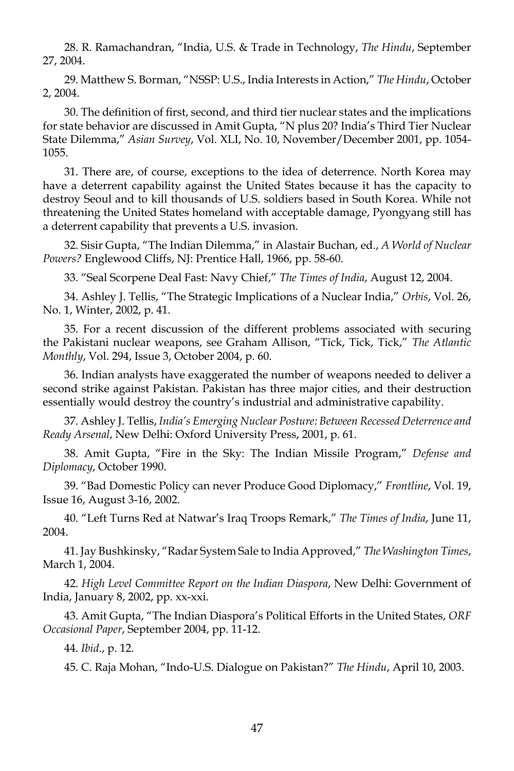28. R. Ramachandran, "India, U.S. & Trade in Technology, *The Hindu*, September 27, 2004.

 29. Matthew S. Borman, "NSSP: U.S., India Interests in Action," *The Hindu*, October 2, 2004.

 30. The definition of first, second, and third tier nuclear states and the implications for state behavior are discussed in Amit Gupta, "N plus 20? India's Third Tier Nuclear State Dilemma," *Asian Survey*, Vol. XLI, No. 10, November/December 2001, pp. 1054- 1055.

 31. There are, of course, exceptions to the idea of deterrence. North Korea may have a deterrent capability against the United States because it has the capacity to destroy Seoul and to kill thousands of U.S. soldiers based in South Korea. While not threatening the United States homeland with acceptable damage, Pyongyang still has a deterrent capability that prevents a U.S. invasion.

 32. Sisir Gupta, "The Indian Dilemma," in Alastair Buchan, ed., *A World of Nuclear Powers?* Englewood Cliffs, NJ: Prentice Hall, 1966, pp. 58-60.

33. "Seal Scorpene Deal Fast: Navy Chief," *The Times of India*, August 12, 2004.

 34. Ashley J. Tellis, "The Strategic Implications of a Nuclear India," *Orbis*, Vol. 26, No. 1, Winter, 2002, p. 41.

 35. For a recent discussion of the different problems associated with securing the Pakistani nuclear weapons, see Graham Allison, "Tick, Tick, Tick," *The Atlantic Monthly*, Vol. 294, Issue 3, October 2004, p. 60.

 36. Indian analysts have exaggerated the number of weapons needed to deliver a second strike against Pakistan. Pakistan has three major cities, and their destruction essentially would destroy the country's industrial and administrative capability.

 37. Ashley J. Tellis, *India's Emerging Nuclear Posture: Between Recessed Deterrence and Ready Arsenal*, New Delhi: Oxford University Press, 2001, p. 61.

 38. Amit Gupta, "Fire in the Sky: The Indian Missile Program," *Defense and Diplomacy*, October 1990.

 39. "Bad Domestic Policy can never Produce Good Diplomacy," *Frontline*, Vol. 19, Issue 16, August 3-16, 2002.

 40. "Left Turns Red at Natwar's Iraq Troops Remark," *The Times of India*, June 11, 2004.

 41. Jay Bushkinsky, "Radar System Sale to India Approved," *The Washington Times*, March 1, 2004.

 42. *High Level Committee Report on the Indian Diaspora*, New Delhi: Government of India, January 8, 2002, pp. xx-xxi.

 43. Amit Gupta, "The Indian Diaspora's Political Efforts in the United States, *ORF Occasional Paper*, September 2004, pp. 11-12.

44. *Ibid*., p. 12.

45. C. Raja Mohan, "Indo-U.S. Dialogue on Pakistan?" *The Hindu*, April 10, 2003.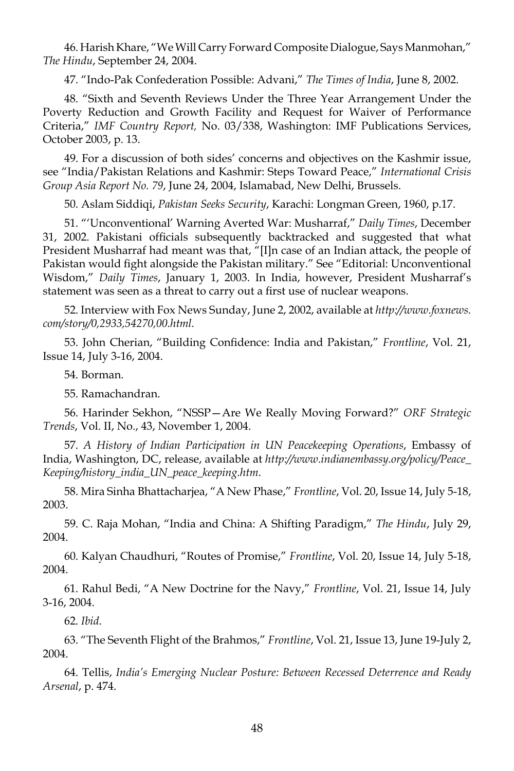46. Harish Khare, "We Will Carry Forward Composite Dialogue, Says Manmohan," *The Hindu*, September 24, 2004.

47. "Indo-Pak Confederation Possible: Advani," *The Times of India*, June 8, 2002.

 48. "Sixth and Seventh Reviews Under the Three Year Arrangement Under the Poverty Reduction and Growth Facility and Request for Waiver of Performance Criteria," *IMF Country Report,* No. 03/338, Washington: IMF Publications Services, October 2003, p. 13.

 49. For a discussion of both sides' concerns and objectives on the Kashmir issue, see "India/Pakistan Relations and Kashmir: Steps Toward Peace," *International Crisis Group Asia Report No. 79*, June 24, 2004, Islamabad, New Delhi, Brussels.

50. Aslam Siddiqi, *Pakistan Seeks Security*, Karachi: Longman Green, 1960, p.17.

 51. "'Unconventional' Warning Averted War: Musharraf," *Daily Times*, December 31, 2002. Pakistani officials subsequently backtracked and suggested that what President Musharraf had meant was that, "[I]n case of an Indian attack, the people of Pakistan would fight alongside the Pakistan military." See "Editorial: Unconventional Wisdom," *Daily Times*, January 1, 2003. In India, however, President Musharraf's statement was seen as a threat to carry out a first use of nuclear weapons.

 52. Interview with Fox News Sunday, June 2, 2002, available at *http://www.foxnews. com/story/0,2933,54270,00.html.*

 53. John Cherian, "Building Confidence: India and Pakistan," *Frontline*, Vol. 21, Issue 14, July 3-16, 2004.

54. Borman.

55. Ramachandran.

 56. Harinder Sekhon, "NSSP—Are We Really Moving Forward?" *ORF Strategic Trends*, Vol. II, No., 43, November 1, 2004.

 57. *A History of Indian Participation in UN Peacekeeping Operations*, Embassy of India, Washington, DC, release, available at *http://www.indianembassy.org/policy/Peace\_ Keeping/history\_india\_UN\_peace\_keeping.htm*.

 58. Mira Sinha Bhattacharjea, "A New Phase," *Frontline*, Vol. 20, Issue 14, July 5-18, 2003.

 59. C. Raja Mohan, "India and China: A Shifting Paradigm," *The Hindu*, July 29, 2004.

 60. Kalyan Chaudhuri, "Routes of Promise," *Frontline*, Vol. 20, Issue 14, July 5-18, 2004.

 61. Rahul Bedi, "A New Doctrine for the Navy," *Frontline*, Vol. 21, Issue 14, July 3-16, 2004.

62. *Ibid*.

 63. "The Seventh Flight of the Brahmos," *Frontline*, Vol. 21, Issue 13, June 19-July 2, 2004.

 64. Tellis, *India's Emerging Nuclear Posture: Between Recessed Deterrence and Ready Arsenal*, p. 474.